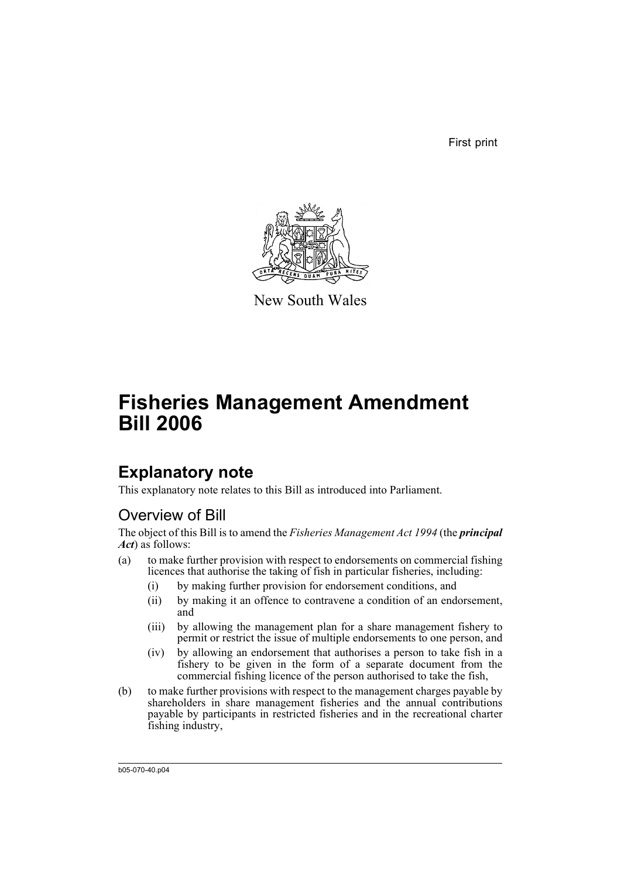First print



New South Wales

# **Fisheries Management Amendment Bill 2006**

# **Explanatory note**

This explanatory note relates to this Bill as introduced into Parliament.

# Overview of Bill

The object of this Bill is to amend the *Fisheries Management Act 1994* (the *principal Act*) as follows:

- (a) to make further provision with respect to endorsements on commercial fishing licences that authorise the taking of fish in particular fisheries, including:
	- (i) by making further provision for endorsement conditions, and
	- (ii) by making it an offence to contravene a condition of an endorsement, and
	- (iii) by allowing the management plan for a share management fishery to permit or restrict the issue of multiple endorsements to one person, and
	- (iv) by allowing an endorsement that authorises a person to take fish in a fishery to be given in the form of a separate document from the commercial fishing licence of the person authorised to take the fish,
- (b) to make further provisions with respect to the management charges payable by shareholders in share management fisheries and the annual contributions payable by participants in restricted fisheries and in the recreational charter fishing industry,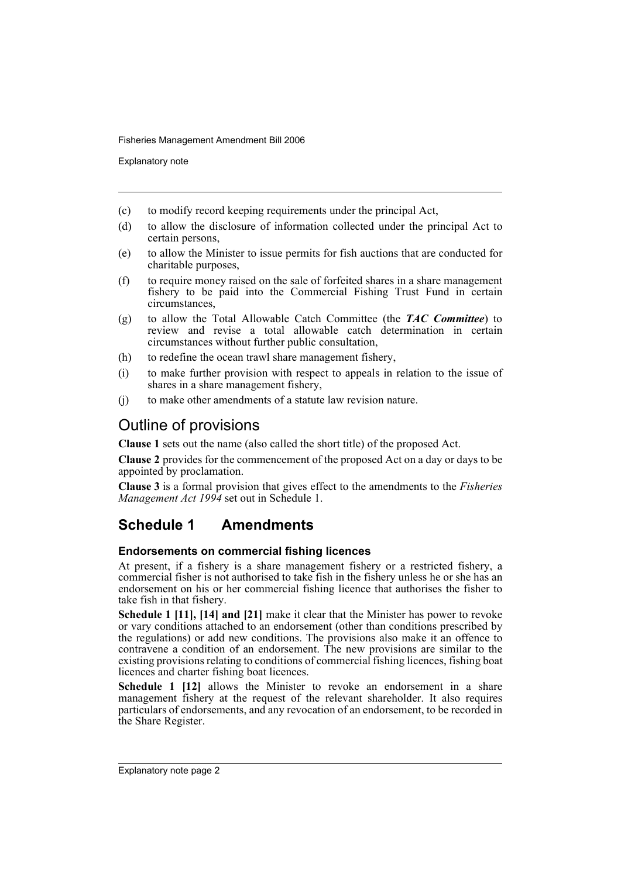Explanatory note

- (c) to modify record keeping requirements under the principal Act,
- (d) to allow the disclosure of information collected under the principal Act to certain persons,
- (e) to allow the Minister to issue permits for fish auctions that are conducted for charitable purposes,
- (f) to require money raised on the sale of forfeited shares in a share management fishery to be paid into the Commercial Fishing Trust Fund in certain circumstances,
- (g) to allow the Total Allowable Catch Committee (the *TAC Committee*) to review and revise a total allowable catch determination in certain circumstances without further public consultation,
- (h) to redefine the ocean trawl share management fishery,
- (i) to make further provision with respect to appeals in relation to the issue of shares in a share management fishery,
- (j) to make other amendments of a statute law revision nature.

# Outline of provisions

**Clause 1** sets out the name (also called the short title) of the proposed Act.

**Clause 2** provides for the commencement of the proposed Act on a day or days to be appointed by proclamation.

**Clause 3** is a formal provision that gives effect to the amendments to the *Fisheries Management Act 1994* set out in Schedule 1.

# **Schedule 1 Amendments**

## **Endorsements on commercial fishing licences**

At present, if a fishery is a share management fishery or a restricted fishery, a commercial fisher is not authorised to take fish in the fishery unless he or she has an endorsement on his or her commercial fishing licence that authorises the fisher to take fish in that fishery.

**Schedule 1 [11], [14] and [21]** make it clear that the Minister has power to revoke or vary conditions attached to an endorsement (other than conditions prescribed by the regulations) or add new conditions. The provisions also make it an offence to contravene a condition of an endorsement. The new provisions are similar to the existing provisions relating to conditions of commercial fishing licences, fishing boat licences and charter fishing boat licences.

**Schedule 1 [12]** allows the Minister to revoke an endorsement in a share management fishery at the request of the relevant shareholder. It also requires particulars of endorsements, and any revocation of an endorsement, to be recorded in the Share Register.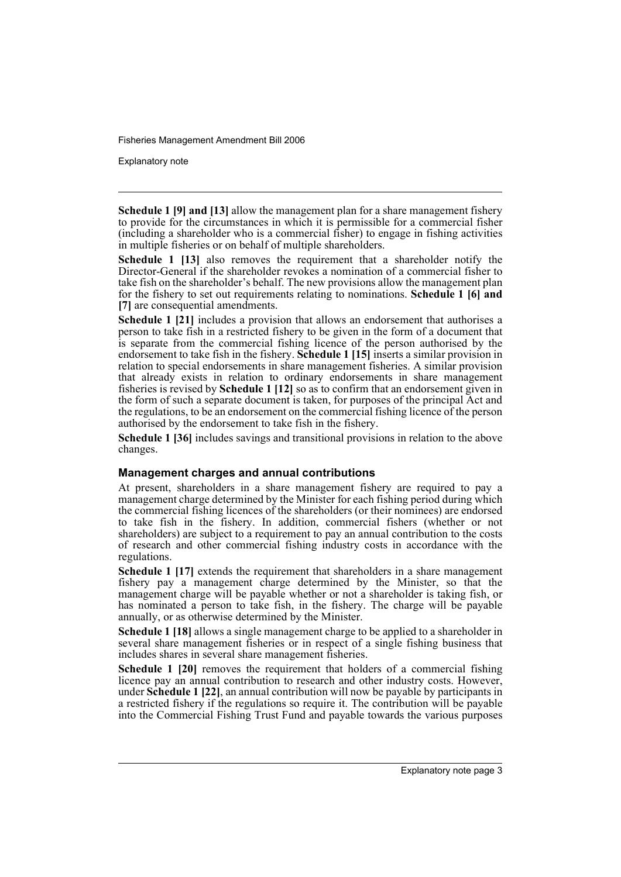Explanatory note

**Schedule 1 [9] and [13]** allow the management plan for a share management fishery to provide for the circumstances in which it is permissible for a commercial fisher (including a shareholder who is a commercial fisher) to engage in fishing activities in multiple fisheries or on behalf of multiple shareholders.

**Schedule 1 [13]** also removes the requirement that a shareholder notify the Director-General if the shareholder revokes a nomination of a commercial fisher to take fish on the shareholder's behalf. The new provisions allow the management plan for the fishery to set out requirements relating to nominations. **Schedule 1 [6] and [7]** are consequential amendments.

**Schedule 1 [21]** includes a provision that allows an endorsement that authorises a person to take fish in a restricted fishery to be given in the form of a document that is separate from the commercial fishing licence of the person authorised by the endorsement to take fish in the fishery. **Schedule 1 [15]** inserts a similar provision in relation to special endorsements in share management fisheries. A similar provision that already exists in relation to ordinary endorsements in share management fisheries is revised by **Schedule 1 [12]** so as to confirm that an endorsement given in the form of such a separate document is taken, for purposes of the principal Act and the regulations, to be an endorsement on the commercial fishing licence of the person authorised by the endorsement to take fish in the fishery.

**Schedule 1 [36]** includes savings and transitional provisions in relation to the above changes.

#### **Management charges and annual contributions**

At present, shareholders in a share management fishery are required to pay a management charge determined by the Minister for each fishing period during which the commercial fishing licences of the shareholders (or their nominees) are endorsed to take fish in the fishery. In addition, commercial fishers (whether or not shareholders) are subject to a requirement to pay an annual contribution to the costs of research and other commercial fishing industry costs in accordance with the regulations.

**Schedule 1 [17]** extends the requirement that shareholders in a share management fishery pay a management charge determined by the Minister, so that the management charge will be payable whether or not a shareholder is taking fish, or has nominated a person to take fish, in the fishery. The charge will be payable annually, or as otherwise determined by the Minister.

**Schedule 1 [18]** allows a single management charge to be applied to a shareholder in several share management fisheries or in respect of a single fishing business that includes shares in several share management fisheries.

**Schedule 1 [20]** removes the requirement that holders of a commercial fishing licence pay an annual contribution to research and other industry costs. However, under **Schedule 1 [22]**, an annual contribution will now be payable by participants in a restricted fishery if the regulations so require it. The contribution will be payable into the Commercial Fishing Trust Fund and payable towards the various purposes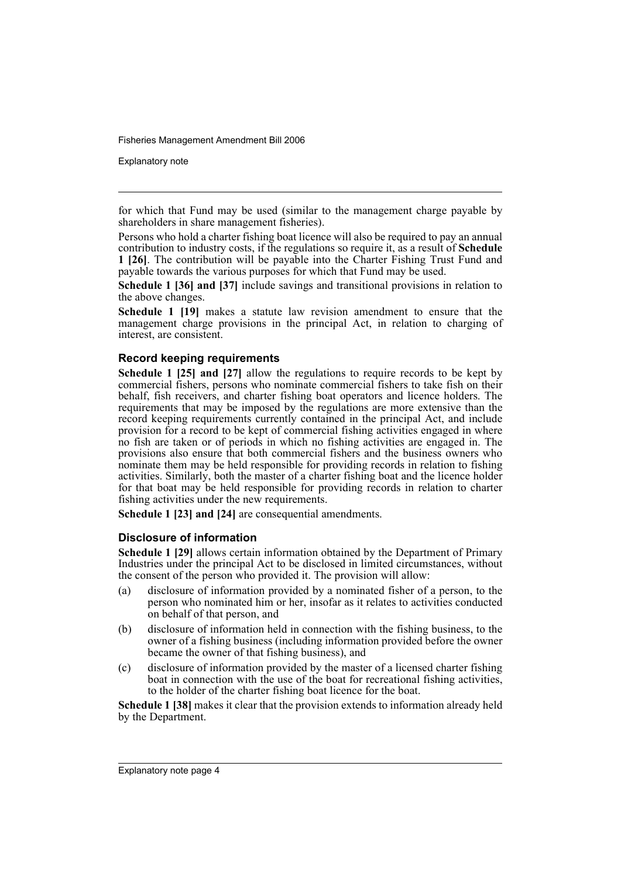Explanatory note

for which that Fund may be used (similar to the management charge payable by shareholders in share management fisheries).

Persons who hold a charter fishing boat licence will also be required to pay an annual contribution to industry costs, if the regulations so require it, as a result of **Schedule 1 [26]**. The contribution will be payable into the Charter Fishing Trust Fund and payable towards the various purposes for which that Fund may be used.

**Schedule 1 [36] and [37]** include savings and transitional provisions in relation to the above changes.

**Schedule 1 [19]** makes a statute law revision amendment to ensure that the management charge provisions in the principal Act, in relation to charging of interest, are consistent.

## **Record keeping requirements**

**Schedule 1 [25] and [27]** allow the regulations to require records to be kept by commercial fishers, persons who nominate commercial fishers to take fish on their behalf, fish receivers, and charter fishing boat operators and licence holders. The requirements that may be imposed by the regulations are more extensive than the record keeping requirements currently contained in the principal Act, and include provision for a record to be kept of commercial fishing activities engaged in where no fish are taken or of periods in which no fishing activities are engaged in. The provisions also ensure that both commercial fishers and the business owners who nominate them may be held responsible for providing records in relation to fishing activities. Similarly, both the master of a charter fishing boat and the licence holder for that boat may be held responsible for providing records in relation to charter fishing activities under the new requirements.

**Schedule 1 [23] and [24]** are consequential amendments.

## **Disclosure of information**

**Schedule 1 [29]** allows certain information obtained by the Department of Primary Industries under the principal Act to be disclosed in limited circumstances, without the consent of the person who provided it. The provision will allow:

- (a) disclosure of information provided by a nominated fisher of a person, to the person who nominated him or her, insofar as it relates to activities conducted on behalf of that person, and
- (b) disclosure of information held in connection with the fishing business, to the owner of a fishing business (including information provided before the owner became the owner of that fishing business), and
- (c) disclosure of information provided by the master of a licensed charter fishing boat in connection with the use of the boat for recreational fishing activities, to the holder of the charter fishing boat licence for the boat.

**Schedule 1 [38]** makes it clear that the provision extends to information already held by the Department.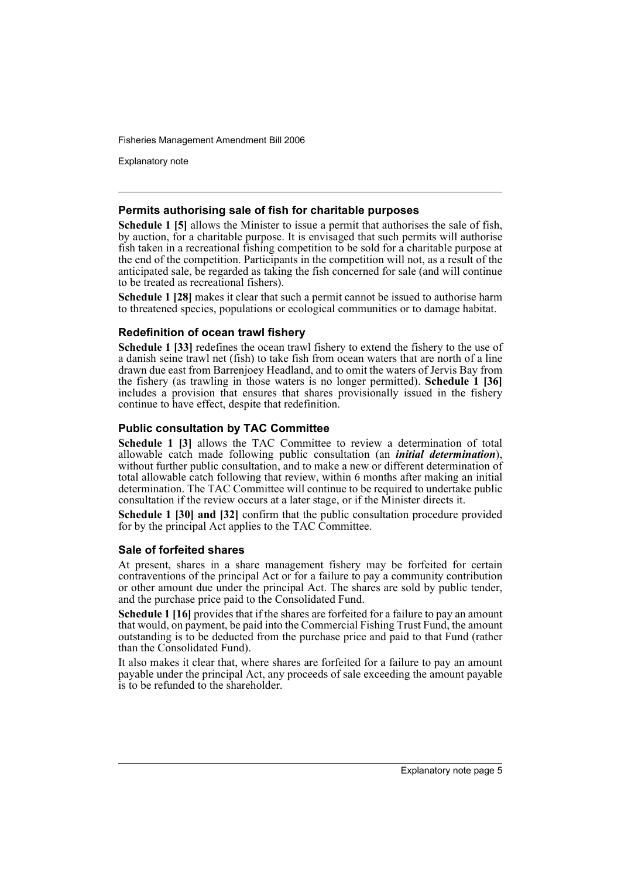Explanatory note

#### **Permits authorising sale of fish for charitable purposes**

**Schedule 1 [5]** allows the Minister to issue a permit that authorises the sale of fish, by auction, for a charitable purpose. It is envisaged that such permits will authorise fish taken in a recreational fishing competition to be sold for a charitable purpose at the end of the competition. Participants in the competition will not, as a result of the anticipated sale, be regarded as taking the fish concerned for sale (and will continue to be treated as recreational fishers).

**Schedule 1 [28]** makes it clear that such a permit cannot be issued to authorise harm to threatened species, populations or ecological communities or to damage habitat.

## **Redefinition of ocean trawl fishery**

**Schedule 1 [33]** redefines the ocean trawl fishery to extend the fishery to the use of a danish seine trawl net (fish) to take fish from ocean waters that are north of a line drawn due east from Barrenjoey Headland, and to omit the waters of Jervis Bay from the fishery (as trawling in those waters is no longer permitted). **Schedule 1 [36]** includes a provision that ensures that shares provisionally issued in the fishery continue to have effect, despite that redefinition.

### **Public consultation by TAC Committee**

**Schedule 1 [3]** allows the TAC Committee to review a determination of total allowable catch made following public consultation (an *initial determination*), without further public consultation, and to make a new or different determination of total allowable catch following that review, within 6 months after making an initial determination. The TAC Committee will continue to be required to undertake public consultation if the review occurs at a later stage, or if the Minister directs it.

**Schedule 1 [30] and [32]** confirm that the public consultation procedure provided for by the principal Act applies to the TAC Committee.

#### **Sale of forfeited shares**

At present, shares in a share management fishery may be forfeited for certain contraventions of the principal Act or for a failure to pay a community contribution or other amount due under the principal Act. The shares are sold by public tender, and the purchase price paid to the Consolidated Fund.

**Schedule 1 [16]** provides that if the shares are forfeited for a failure to pay an amount that would, on payment, be paid into the Commercial Fishing Trust Fund, the amount outstanding is to be deducted from the purchase price and paid to that Fund (rather than the Consolidated Fund).

It also makes it clear that, where shares are forfeited for a failure to pay an amount payable under the principal Act, any proceeds of sale exceeding the amount payable is to be refunded to the shareholder.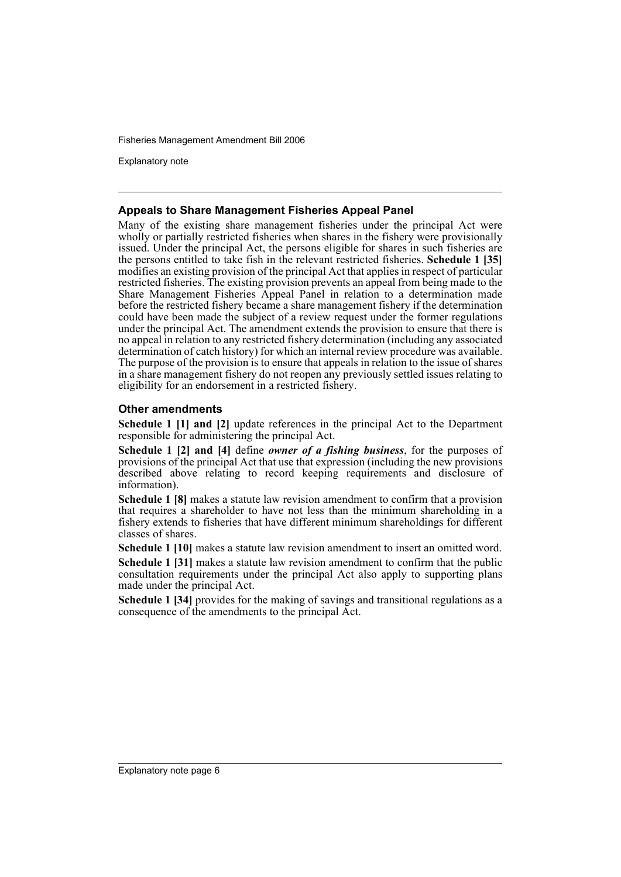Explanatory note

#### **Appeals to Share Management Fisheries Appeal Panel**

Many of the existing share management fisheries under the principal Act were wholly or partially restricted fisheries when shares in the fishery were provisionally issued. Under the principal Act, the persons eligible for shares in such fisheries are the persons entitled to take fish in the relevant restricted fisheries. **Schedule 1 [35]** modifies an existing provision of the principal Act that applies in respect of particular restricted fisheries. The existing provision prevents an appeal from being made to the Share Management Fisheries Appeal Panel in relation to a determination made before the restricted fishery became a share management fishery if the determination could have been made the subject of a review request under the former regulations under the principal Act. The amendment extends the provision to ensure that there is no appeal in relation to any restricted fishery determination (including any associated determination of catch history) for which an internal review procedure was available. The purpose of the provision is to ensure that appeals in relation to the issue of shares in a share management fishery do not reopen any previously settled issues relating to eligibility for an endorsement in a restricted fishery.

## **Other amendments**

**Schedule 1 [1] and [2]** update references in the principal Act to the Department responsible for administering the principal Act.

**Schedule 1 [2] and [4]** define *owner of a fishing business*, for the purposes of provisions of the principal Act that use that expression (including the new provisions described above relating to record keeping requirements and disclosure of information).

**Schedule 1 [8]** makes a statute law revision amendment to confirm that a provision that requires a shareholder to have not less than the minimum shareholding in a fishery extends to fisheries that have different minimum shareholdings for different classes of shares.

**Schedule 1 [10]** makes a statute law revision amendment to insert an omitted word.

**Schedule 1 [31]** makes a statute law revision amendment to confirm that the public consultation requirements under the principal Act also apply to supporting plans made under the principal Act.

**Schedule 1 [34]** provides for the making of savings and transitional regulations as a consequence of the amendments to the principal Act.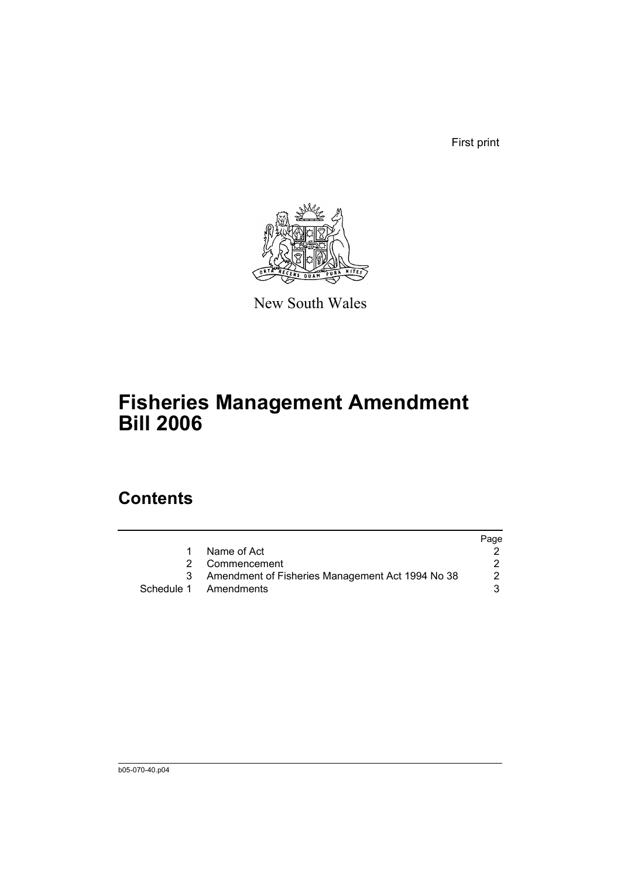First print



New South Wales

# **Fisheries Management Amendment Bill 2006**

# **Contents**

|   |                                                  | Page |
|---|--------------------------------------------------|------|
| 1 | Name of Act                                      |      |
|   | 2 Commencement                                   |      |
| 3 | Amendment of Fisheries Management Act 1994 No 38 | 2    |
|   | Schedule 1 Amendments                            |      |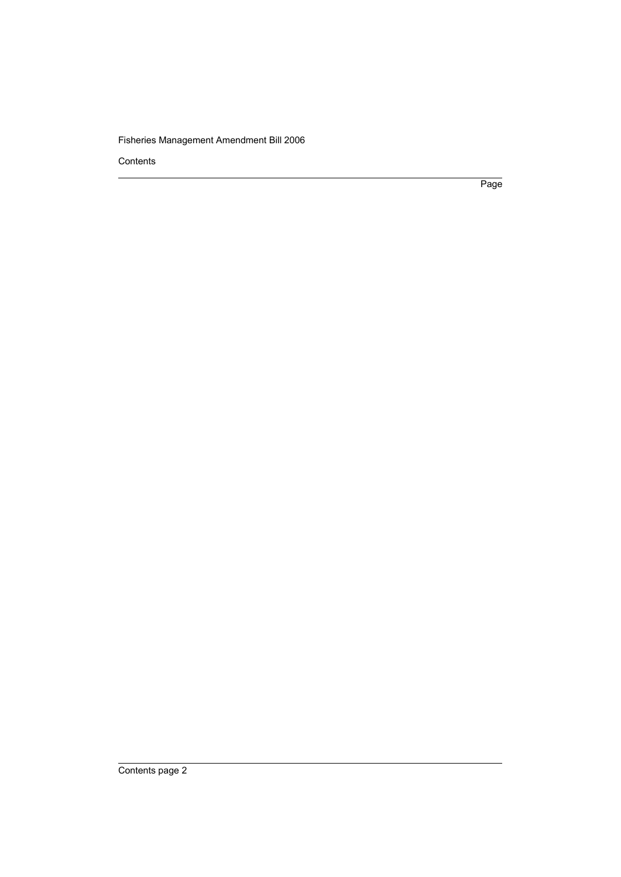Contents

Page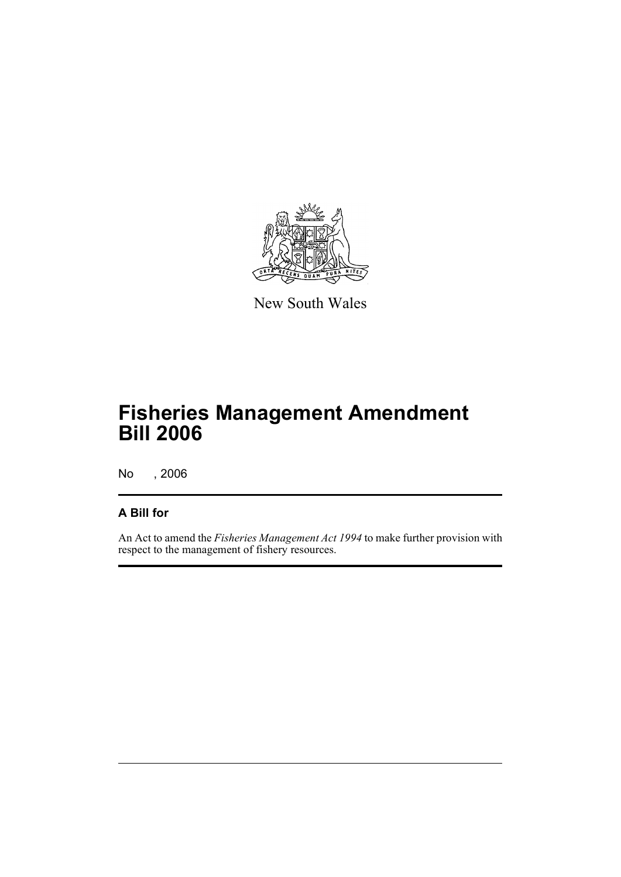

New South Wales

# **Fisheries Management Amendment Bill 2006**

No , 2006

# **A Bill for**

An Act to amend the *Fisheries Management Act 1994* to make further provision with respect to the management of fishery resources.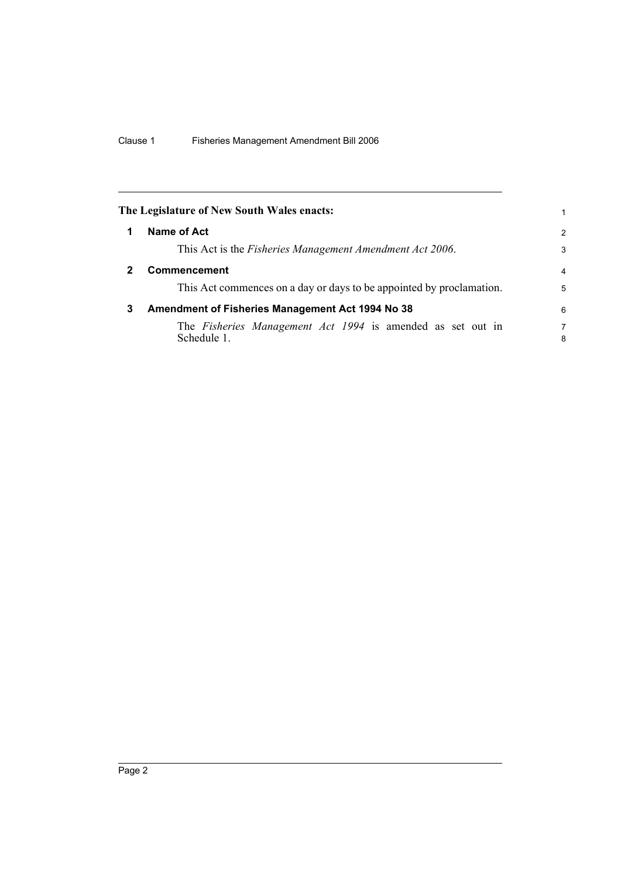<span id="page-9-2"></span><span id="page-9-1"></span><span id="page-9-0"></span>

|   | The Legislature of New South Wales enacts:                                | 1              |
|---|---------------------------------------------------------------------------|----------------|
| 1 | Name of Act                                                               | $\overline{2}$ |
|   | This Act is the <i>Fisheries Management Amendment Act 2006</i> .          | 3              |
|   | <b>Commencement</b>                                                       | $\overline{4}$ |
|   | This Act commences on a day or days to be appointed by proclamation.      | 5              |
| 3 | Amendment of Fisheries Management Act 1994 No 38                          | 6              |
|   | The Fisheries Management Act 1994 is amended as set out in<br>Schedule 1. | 7<br>8         |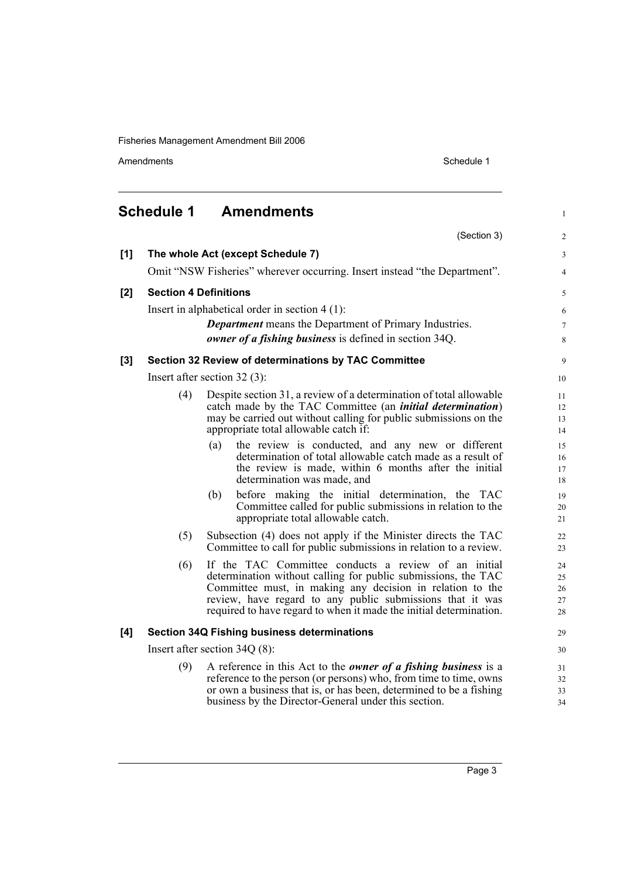Amendments Schedule 1

<span id="page-10-0"></span>

|     | <b>Schedule 1</b> | <b>Amendments</b>                                                                                                          | $\mathbf{1}$   |
|-----|-------------------|----------------------------------------------------------------------------------------------------------------------------|----------------|
|     |                   | (Section 3)                                                                                                                | $\overline{c}$ |
| [1] |                   | The whole Act (except Schedule 7)                                                                                          | 3              |
|     |                   | Omit "NSW Fisheries" wherever occurring. Insert instead "the Department".                                                  | 4              |
| [2] |                   | <b>Section 4 Definitions</b>                                                                                               | 5              |
|     |                   | Insert in alphabetical order in section $4(1)$ :                                                                           | 6              |
|     |                   | <b>Department</b> means the Department of Primary Industries.                                                              | 7              |
|     |                   | owner of a fishing business is defined in section 34Q.                                                                     | 8              |
| [3] |                   | Section 32 Review of determinations by TAC Committee                                                                       | 9              |
|     |                   | Insert after section $32(3)$ :                                                                                             | 10             |
|     | (4)               | Despite section 31, a review of a determination of total allowable                                                         | 11             |
|     |                   | catch made by the TAC Committee (an <i>initial determination</i> )                                                         | 12             |
|     |                   | may be carried out without calling for public submissions on the<br>appropriate total allowable catch if:                  | 13<br>14       |
|     |                   | (a)<br>the review is conducted, and any new or different                                                                   | 15             |
|     |                   | determination of total allowable catch made as a result of                                                                 | 16             |
|     |                   | the review is made, within 6 months after the initial<br>determination was made, and                                       | 17<br>18       |
|     |                   | (b)<br>before making the initial determination, the TAC                                                                    | 19             |
|     |                   | Committee called for public submissions in relation to the                                                                 | 20             |
|     |                   | appropriate total allowable catch.                                                                                         | 21             |
|     | (5)               | Subsection (4) does not apply if the Minister directs the TAC                                                              | 22             |
|     |                   | Committee to call for public submissions in relation to a review.                                                          | 23             |
|     | (6)               | If the TAC Committee conducts a review of an initial                                                                       | 24             |
|     |                   | determination without calling for public submissions, the TAC<br>Committee must, in making any decision in relation to the | 25<br>26       |
|     |                   | review, have regard to any public submissions that it was                                                                  | 27             |
|     |                   | required to have regard to when it made the initial determination.                                                         | 28             |
| [4] |                   | <b>Section 34Q Fishing business determinations</b>                                                                         | 29             |
|     |                   | Insert after section $34Q(8)$ :                                                                                            | 30             |
|     | (9)               | A reference in this Act to the <i>owner of a fishing business</i> is a                                                     | 31             |
|     |                   | reference to the person (or persons) who, from time to time, owns                                                          | 32             |
|     |                   | or own a business that is, or has been, determined to be a fishing<br>business by the Director-General under this section. | 33<br>34       |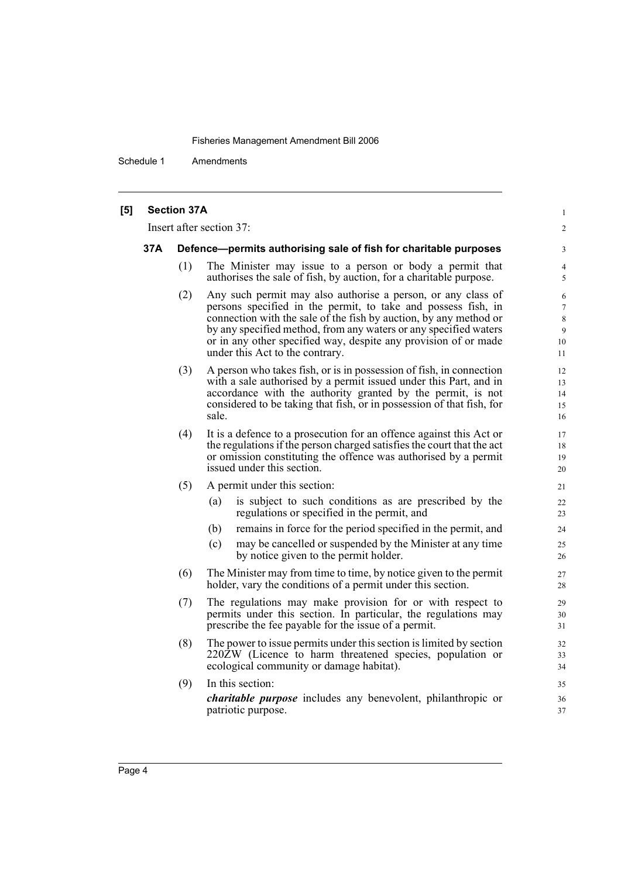Schedule 1 Amendments

| <b>Section 37A</b><br>[5] |  |
|---------------------------|--|
|---------------------------|--|

Insert after section 37:

#### **37A Defence—permits authorising sale of fish for charitable purposes**

(1) The Minister may issue to a person or body a permit that authorises the sale of fish, by auction, for a charitable purpose.

1  $\mathfrak{Z}$ 

- (2) Any such permit may also authorise a person, or any class of persons specified in the permit, to take and possess fish, in connection with the sale of the fish by auction, by any method or by any specified method, from any waters or any specified waters or in any other specified way, despite any provision of or made under this Act to the contrary.
- (3) A person who takes fish, or is in possession of fish, in connection with a sale authorised by a permit issued under this Part, and in accordance with the authority granted by the permit, is not considered to be taking that fish, or in possession of that fish, for sale.
- (4) It is a defence to a prosecution for an offence against this Act or the regulations if the person charged satisfies the court that the act or omission constituting the offence was authorised by a permit issued under this section.
- (5) A permit under this section:
	- (a) is subject to such conditions as are prescribed by the regulations or specified in the permit, and
	- (b) remains in force for the period specified in the permit, and
	- (c) may be cancelled or suspended by the Minister at any time by notice given to the permit holder.
- (6) The Minister may from time to time, by notice given to the permit holder, vary the conditions of a permit under this section.
- (7) The regulations may make provision for or with respect to permits under this section. In particular, the regulations may prescribe the fee payable for the issue of a permit.
- (8) The power to issue permits under this section is limited by section 220ZW (Licence to harm threatened species, population or ecological community or damage habitat).
- (9) In this section: *charitable purpose* includes any benevolent, philanthropic or patriotic purpose.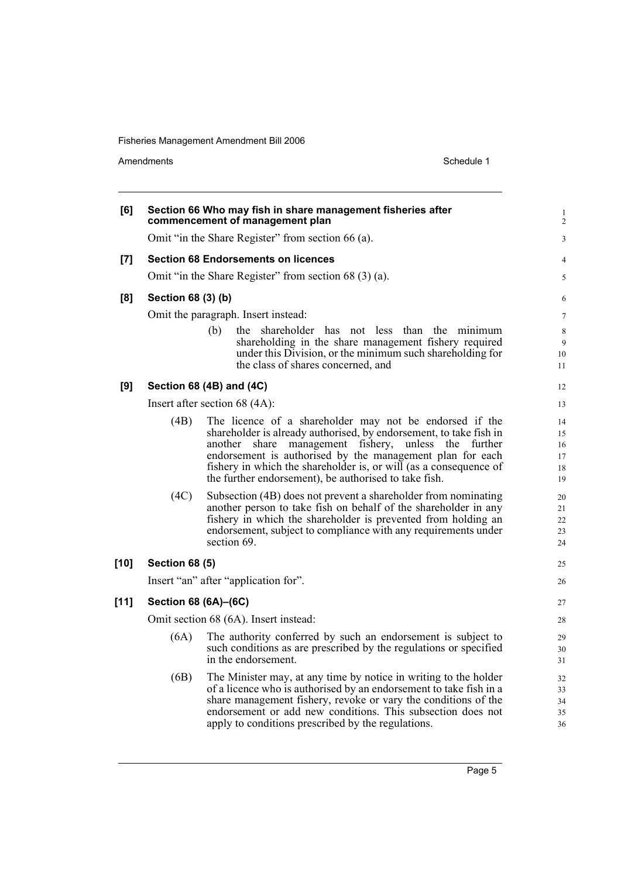Amendments Schedule 1

| [6]    |                       | Section 66 Who may fish in share management fisheries after<br>commencement of management plan                                         | $\mathbf{1}$<br>$\overline{2}$ |
|--------|-----------------------|----------------------------------------------------------------------------------------------------------------------------------------|--------------------------------|
|        |                       | Omit "in the Share Register" from section 66 (a).                                                                                      | 3                              |
| $[7]$  |                       | <b>Section 68 Endorsements on licences</b>                                                                                             | $\overline{4}$                 |
|        |                       | Omit "in the Share Register" from section 68 (3) (a).                                                                                  | 5                              |
| [8]    | Section 68 (3) (b)    |                                                                                                                                        | 6                              |
|        |                       | Omit the paragraph. Insert instead:                                                                                                    | $\tau$                         |
|        |                       | the shareholder has not less than the minimum<br>(b)                                                                                   | 8                              |
|        |                       | shareholding in the share management fishery required                                                                                  | 9                              |
|        |                       | under this Division, or the minimum such shareholding for                                                                              | 10                             |
|        |                       | the class of shares concerned, and                                                                                                     | 11                             |
| [9]    |                       | Section 68 (4B) and (4C)                                                                                                               | 12                             |
|        |                       | Insert after section 68 (4A):                                                                                                          | 13                             |
|        | (4B)                  | The licence of a shareholder may not be endorsed if the                                                                                | 14                             |
|        |                       | shareholder is already authorised, by endorsement, to take fish in                                                                     | 15                             |
|        |                       | share management fishery, unless the<br>another<br>further<br>endorsement is authorised by the management plan for each                | 16<br>17                       |
|        |                       | fishery in which the shareholder is, or will (as a consequence of                                                                      | 18                             |
|        |                       | the further endorsement), be authorised to take fish.                                                                                  | 19                             |
|        | (4C)                  | Subsection (4B) does not prevent a shareholder from nominating                                                                         | 20                             |
|        |                       | another person to take fish on behalf of the shareholder in any                                                                        | 21                             |
|        |                       | fishery in which the shareholder is prevented from holding an<br>endorsement, subject to compliance with any requirements under        | 22                             |
|        |                       | section 69.                                                                                                                            | 23<br>24                       |
| $[10]$ | <b>Section 68 (5)</b> |                                                                                                                                        | 25                             |
|        |                       | Insert "an" after "application for".                                                                                                   | 26                             |
| $[11]$ | Section 68 (6A)-(6C)  |                                                                                                                                        |                                |
|        |                       |                                                                                                                                        | 27                             |
|        |                       | Omit section 68 (6A). Insert instead:                                                                                                  | 28                             |
|        | (6A)                  | The authority conferred by such an endorsement is subject to                                                                           | 29                             |
|        |                       | such conditions as are prescribed by the regulations or specified<br>in the endorsement.                                               | 30<br>31                       |
|        |                       |                                                                                                                                        |                                |
|        | (6B)                  | The Minister may, at any time by notice in writing to the holder<br>of a licence who is authorised by an endorsement to take fish in a | 32<br>33                       |
|        |                       | share management fishery, revoke or vary the conditions of the                                                                         | 34                             |
|        |                       | endorsement or add new conditions. This subsection does not                                                                            | 35                             |
|        |                       | apply to conditions prescribed by the regulations.                                                                                     | 36                             |
|        |                       |                                                                                                                                        |                                |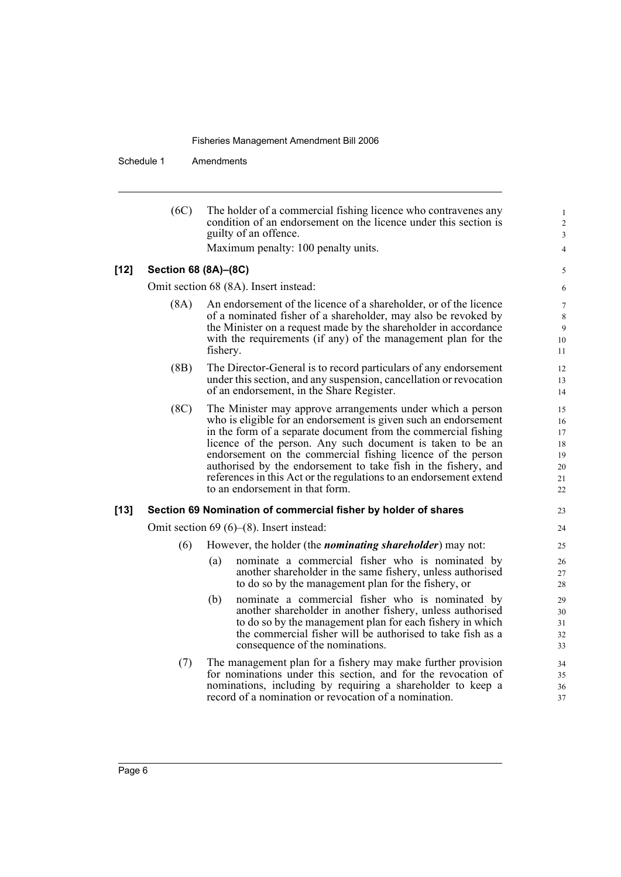Schedule 1 Amendments

|        | (6C)                 | The holder of a commercial fishing licence who contravenes any<br>condition of an endorsement on the licence under this section is<br>guilty of an offence.                                                                                                                                                                                                                                                                                                                                             |  |
|--------|----------------------|---------------------------------------------------------------------------------------------------------------------------------------------------------------------------------------------------------------------------------------------------------------------------------------------------------------------------------------------------------------------------------------------------------------------------------------------------------------------------------------------------------|--|
|        |                      | Maximum penalty: 100 penalty units.                                                                                                                                                                                                                                                                                                                                                                                                                                                                     |  |
| $[12]$ | Section 68 (8A)-(8C) |                                                                                                                                                                                                                                                                                                                                                                                                                                                                                                         |  |
|        |                      | Omit section 68 (8A). Insert instead:                                                                                                                                                                                                                                                                                                                                                                                                                                                                   |  |
|        | (8A)                 | An endorsement of the licence of a shareholder, or of the licence<br>of a nominated fisher of a shareholder, may also be revoked by<br>the Minister on a request made by the shareholder in accordance<br>with the requirements (if any) of the management plan for the<br>fishery.                                                                                                                                                                                                                     |  |
|        | (BB)                 | The Director-General is to record particulars of any endorsement<br>under this section, and any suspension, cancellation or revocation<br>of an endorsement, in the Share Register.                                                                                                                                                                                                                                                                                                                     |  |
|        | (8C)                 | The Minister may approve arrangements under which a person<br>who is eligible for an endorsement is given such an endorsement<br>in the form of a separate document from the commercial fishing<br>licence of the person. Any such document is taken to be an<br>endorsement on the commercial fishing licence of the person<br>authorised by the endorsement to take fish in the fishery, and<br>references in this Act or the regulations to an endorsement extend<br>to an endorsement in that form. |  |
| $[13]$ |                      | Section 69 Nomination of commercial fisher by holder of shares                                                                                                                                                                                                                                                                                                                                                                                                                                          |  |
|        |                      | Omit section 69 $(6)$ – $(8)$ . Insert instead:                                                                                                                                                                                                                                                                                                                                                                                                                                                         |  |
|        | (6)                  | However, the holder (the <i>nominating shareholder</i> ) may not:                                                                                                                                                                                                                                                                                                                                                                                                                                       |  |
|        |                      | nominate a commercial fisher who is nominated by<br>(a)<br>another shareholder in the same fishery, unless authorised<br>to do so by the management plan for the fishery, or                                                                                                                                                                                                                                                                                                                            |  |
|        |                      | nominate a commercial fisher who is nominated by<br>(b)<br>another shareholder in another fishery, unless authorised<br>to do so by the management plan for each fishery in which<br>the commercial fisher will be authorised to take fish as a<br>consequence of the nominations.                                                                                                                                                                                                                      |  |
|        | (7)                  | The management plan for a fishery may make further provision<br>for nominations under this section, and for the revocation of<br>nominations, including by requiring a shareholder to keep a<br>record of a nomination or revocation of a nomination.                                                                                                                                                                                                                                                   |  |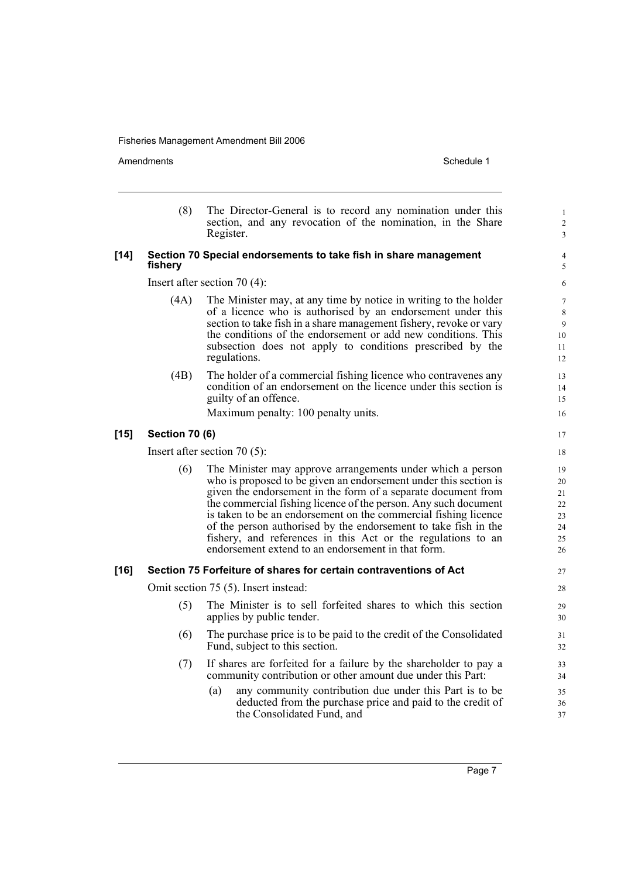Amendments Schedule 1

|        | (8)                   | The Director-General is to record any nomination under this<br>section, and any revocation of the nomination, in the Share<br>Register.                                                                                                                                                                                                                                                                                                                                                                                        | $\mathbf{1}$<br>$\overline{c}$<br>3          |
|--------|-----------------------|--------------------------------------------------------------------------------------------------------------------------------------------------------------------------------------------------------------------------------------------------------------------------------------------------------------------------------------------------------------------------------------------------------------------------------------------------------------------------------------------------------------------------------|----------------------------------------------|
| $[14]$ | fishery               | Section 70 Special endorsements to take fish in share management                                                                                                                                                                                                                                                                                                                                                                                                                                                               | 4<br>5                                       |
|        |                       | Insert after section $70(4)$ :                                                                                                                                                                                                                                                                                                                                                                                                                                                                                                 | 6                                            |
|        | (4A)                  | The Minister may, at any time by notice in writing to the holder<br>of a licence who is authorised by an endorsement under this<br>section to take fish in a share management fishery, revoke or vary<br>the conditions of the endorsement or add new conditions. This<br>subsection does not apply to conditions prescribed by the<br>regulations.                                                                                                                                                                            | 7<br>$\,$ 8 $\,$<br>9<br>10<br>11<br>12      |
|        | (4B)                  | The holder of a commercial fishing licence who contravenes any<br>condition of an endorsement on the licence under this section is<br>guilty of an offence.                                                                                                                                                                                                                                                                                                                                                                    | 13<br>14<br>15                               |
|        |                       | Maximum penalty: 100 penalty units.                                                                                                                                                                                                                                                                                                                                                                                                                                                                                            | 16                                           |
| $[15]$ | <b>Section 70 (6)</b> |                                                                                                                                                                                                                                                                                                                                                                                                                                                                                                                                | 17                                           |
|        |                       | Insert after section 70 $(5)$ :                                                                                                                                                                                                                                                                                                                                                                                                                                                                                                | 18                                           |
|        | (6)                   | The Minister may approve arrangements under which a person<br>who is proposed to be given an endorsement under this section is<br>given the endorsement in the form of a separate document from<br>the commercial fishing licence of the person. Any such document<br>is taken to be an endorsement on the commercial fishing licence<br>of the person authorised by the endorsement to take fish in the<br>fishery, and references in this Act or the regulations to an<br>endorsement extend to an endorsement in that form. | 19<br>20<br>21<br>22<br>23<br>24<br>25<br>26 |
| $[16]$ |                       | Section 75 Forfeiture of shares for certain contraventions of Act                                                                                                                                                                                                                                                                                                                                                                                                                                                              | 27                                           |
|        |                       | Omit section 75 (5). Insert instead:                                                                                                                                                                                                                                                                                                                                                                                                                                                                                           | 28                                           |
|        | (5)                   | The Minister is to sell forfeited shares to which this section<br>applies by public tender.                                                                                                                                                                                                                                                                                                                                                                                                                                    | 29<br>30                                     |
|        | (6)                   | The purchase price is to be paid to the credit of the Consolidated<br>Fund, subject to this section.                                                                                                                                                                                                                                                                                                                                                                                                                           | 31<br>32                                     |
|        | (7)                   | If shares are forfeited for a failure by the shareholder to pay a<br>community contribution or other amount due under this Part:                                                                                                                                                                                                                                                                                                                                                                                               | 33<br>34                                     |
|        |                       | any community contribution due under this Part is to be<br>(a)<br>deducted from the purchase price and paid to the credit of<br>the Consolidated Fund, and                                                                                                                                                                                                                                                                                                                                                                     | 35<br>36<br>37                               |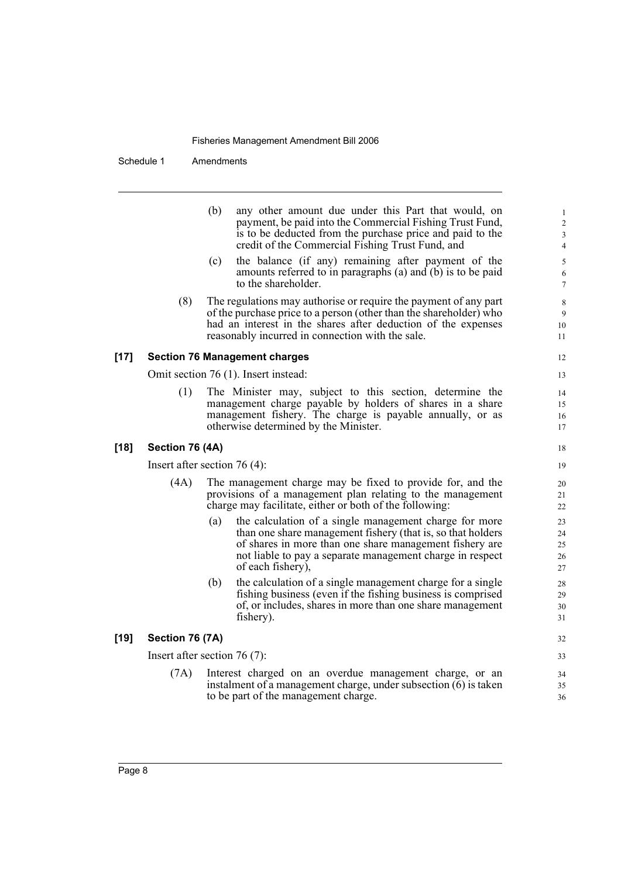Schedule 1 Amendments

| (b) | any other amount due under this Part that would, on       |
|-----|-----------------------------------------------------------|
|     | payment, be paid into the Commercial Fishing Trust Fund,  |
|     | is to be deducted from the purchase price and paid to the |
|     | credit of the Commercial Fishing Trust Fund, and          |

- (c) the balance (if any) remaining after payment of the amounts referred to in paragraphs (a) and (b) is to be paid to the shareholder.
- (8) The regulations may authorise or require the payment of any part of the purchase price to a person (other than the shareholder) who had an interest in the shares after deduction of the expenses reasonably incurred in connection with the sale.

#### **[17] Section 76 Management charges**

Omit section 76 (1). Insert instead:

(1) The Minister may, subject to this section, determine the management charge payable by holders of shares in a share management fishery. The charge is payable annually, or as otherwise determined by the Minister.

#### **[18] Section 76 (4A)**

Insert after section 76 (4):

- (4A) The management charge may be fixed to provide for, and the provisions of a management plan relating to the management charge may facilitate, either or both of the following:
	- (a) the calculation of a single management charge for more than one share management fishery (that is, so that holders of shares in more than one share management fishery are not liable to pay a separate management charge in respect of each fishery),
	- (b) the calculation of a single management charge for a single fishing business (even if the fishing business is comprised of, or includes, shares in more than one share management fishery).

#### **[19] Section 76 (7A)**

Insert after section 76 (7):

(7A) Interest charged on an overdue management charge, or an instalment of a management charge, under subsection (6) is taken to be part of the management charge.

11 12

13 14

> 34 35 36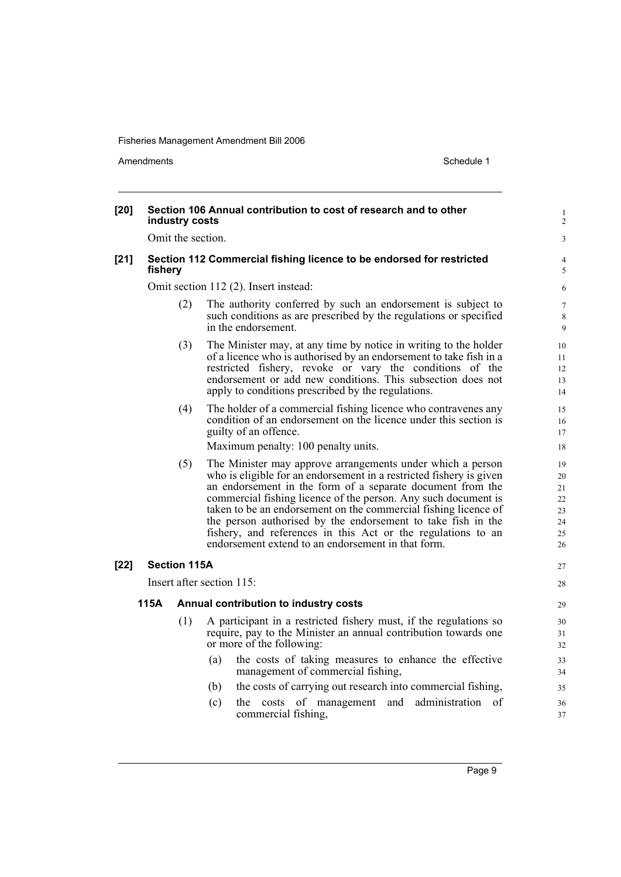Amendments Schedule 1

| $[20]$ |         | industry costs      | Section 106 Annual contribution to cost of research and to other                                                                                                                                                                                                                                                                                                                                                                                                                                                           | $\mathbf{1}$<br>$\overline{2}$               |
|--------|---------|---------------------|----------------------------------------------------------------------------------------------------------------------------------------------------------------------------------------------------------------------------------------------------------------------------------------------------------------------------------------------------------------------------------------------------------------------------------------------------------------------------------------------------------------------------|----------------------------------------------|
|        |         | Omit the section.   |                                                                                                                                                                                                                                                                                                                                                                                                                                                                                                                            | 3                                            |
| $[21]$ | fishery |                     | Section 112 Commercial fishing licence to be endorsed for restricted                                                                                                                                                                                                                                                                                                                                                                                                                                                       | 4<br>5                                       |
|        |         |                     | Omit section 112 (2). Insert instead:                                                                                                                                                                                                                                                                                                                                                                                                                                                                                      | 6                                            |
|        |         | (2)                 | The authority conferred by such an endorsement is subject to<br>such conditions as are prescribed by the regulations or specified<br>in the endorsement.                                                                                                                                                                                                                                                                                                                                                                   | $\tau$<br>$\,$ 8 $\,$<br>9                   |
|        |         | (3)                 | The Minister may, at any time by notice in writing to the holder<br>of a licence who is authorised by an endorsement to take fish in a<br>restricted fishery, revoke or vary the conditions of the<br>endorsement or add new conditions. This subsection does not<br>apply to conditions prescribed by the regulations.                                                                                                                                                                                                    | 10<br>11<br>12<br>13<br>14                   |
|        |         | (4)                 | The holder of a commercial fishing licence who contravenes any<br>condition of an endorsement on the licence under this section is<br>guilty of an offence.<br>Maximum penalty: 100 penalty units.                                                                                                                                                                                                                                                                                                                         | 15<br>16<br>17<br>18                         |
|        |         | (5)                 | The Minister may approve arrangements under which a person<br>who is eligible for an endorsement in a restricted fishery is given<br>an endorsement in the form of a separate document from the<br>commercial fishing licence of the person. Any such document is<br>taken to be an endorsement on the commercial fishing licence of<br>the person authorised by the endorsement to take fish in the<br>fishery, and references in this Act or the regulations to an<br>endorsement extend to an endorsement in that form. | 19<br>20<br>21<br>22<br>23<br>24<br>25<br>26 |
| $[22]$ |         | <b>Section 115A</b> |                                                                                                                                                                                                                                                                                                                                                                                                                                                                                                                            | 27                                           |
|        |         |                     | Insert after section 115:                                                                                                                                                                                                                                                                                                                                                                                                                                                                                                  | 28                                           |
|        | 115A    |                     | Annual contribution to industry costs                                                                                                                                                                                                                                                                                                                                                                                                                                                                                      | 29                                           |
|        |         | (1)                 | A participant in a restricted fishery must, if the regulations so<br>require, pay to the Minister an annual contribution towards one<br>or more of the following:<br>the costs of taking measures to enhance the effective<br>(a)                                                                                                                                                                                                                                                                                          | $30\,$<br>31<br>32<br>33                     |
|        |         |                     | management of commercial fishing,                                                                                                                                                                                                                                                                                                                                                                                                                                                                                          | 34                                           |
|        |         |                     | the costs of carrying out research into commercial fishing,<br>(b)                                                                                                                                                                                                                                                                                                                                                                                                                                                         | 35                                           |
|        |         |                     | (c)<br>the costs of management and<br>administration of<br>commercial fishing,                                                                                                                                                                                                                                                                                                                                                                                                                                             | 36<br>37                                     |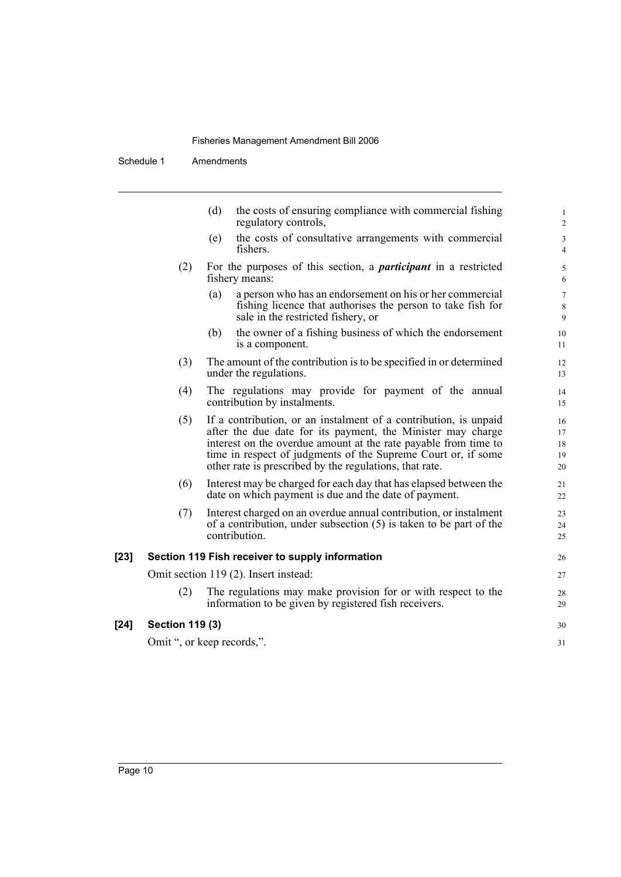Schedule 1 Amendments

|        |                        | the costs of ensuring compliance with commercial fishing<br>(d)<br>regulatory controls,                                                                                                                                                                                                                                        | $\mathbf{1}$<br>$\overline{c}$ |
|--------|------------------------|--------------------------------------------------------------------------------------------------------------------------------------------------------------------------------------------------------------------------------------------------------------------------------------------------------------------------------|--------------------------------|
|        |                        | the costs of consultative arrangements with commercial<br>(e)<br>fishers.                                                                                                                                                                                                                                                      | 3<br>$\overline{4}$            |
|        | (2)                    | For the purposes of this section, a <i>participant</i> in a restricted<br>fishery means:                                                                                                                                                                                                                                       | 5<br>6                         |
|        |                        | a person who has an endorsement on his or her commercial<br>(a)<br>fishing licence that authorises the person to take fish for<br>sale in the restricted fishery, or                                                                                                                                                           | $\overline{7}$<br>8<br>9       |
|        |                        | the owner of a fishing business of which the endorsement<br>(b)<br>is a component.                                                                                                                                                                                                                                             | 10<br>11                       |
|        | (3)                    | The amount of the contribution is to be specified in or determined<br>under the regulations.                                                                                                                                                                                                                                   | 12<br>13                       |
|        | (4)                    | The regulations may provide for payment of the annual<br>contribution by instalments.                                                                                                                                                                                                                                          | 14<br>15                       |
|        | (5)                    | If a contribution, or an instalment of a contribution, is unpaid<br>after the due date for its payment, the Minister may charge<br>interest on the overdue amount at the rate payable from time to<br>time in respect of judgments of the Supreme Court or, if some<br>other rate is prescribed by the regulations, that rate. | 16<br>17<br>18<br>19<br>20     |
|        | (6)                    | Interest may be charged for each day that has elapsed between the<br>date on which payment is due and the date of payment.                                                                                                                                                                                                     | 21<br>22                       |
|        | (7)                    | Interest charged on an overdue annual contribution, or instalment<br>of a contribution, under subsection $(5)$ is taken to be part of the<br>contribution.                                                                                                                                                                     | 23<br>24<br>25                 |
| $[23]$ |                        | Section 119 Fish receiver to supply information                                                                                                                                                                                                                                                                                | 26                             |
|        |                        | Omit section 119 (2). Insert instead:                                                                                                                                                                                                                                                                                          | 27                             |
|        | (2)                    | The regulations may make provision for or with respect to the<br>information to be given by registered fish receivers.                                                                                                                                                                                                         | 28<br>29                       |
| [24]   | <b>Section 119 (3)</b> |                                                                                                                                                                                                                                                                                                                                | 30                             |
|        |                        | Omit ", or keep records,".                                                                                                                                                                                                                                                                                                     | 31                             |

 $[24]$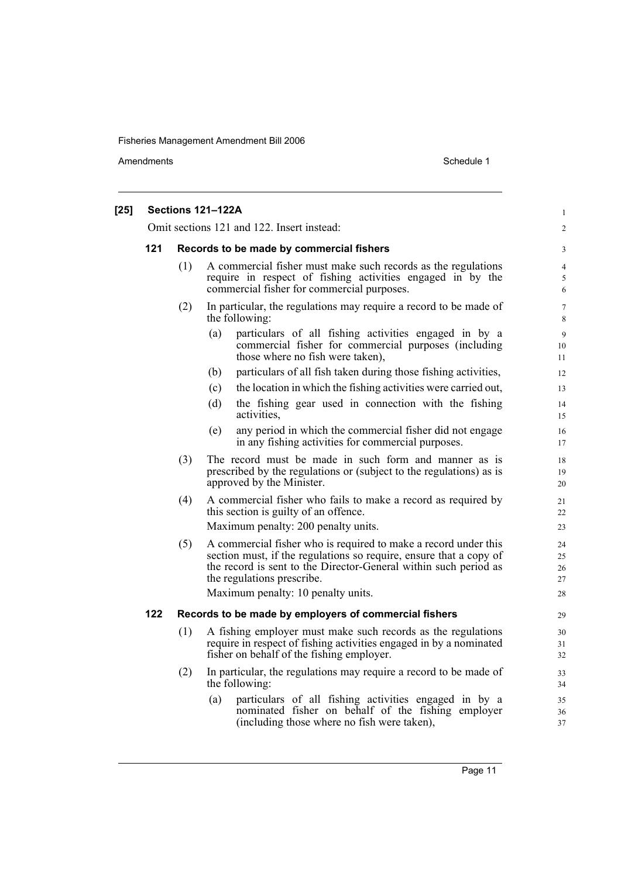Amendments Schedule 1

| $[25]$ |     |     | Sections 121-122A                                                                                                                                                                                                                                                             | $\mathbf{1}$               |
|--------|-----|-----|-------------------------------------------------------------------------------------------------------------------------------------------------------------------------------------------------------------------------------------------------------------------------------|----------------------------|
|        |     |     | Omit sections 121 and 122. Insert instead:                                                                                                                                                                                                                                    | $\overline{c}$             |
|        | 121 |     | Records to be made by commercial fishers                                                                                                                                                                                                                                      | 3                          |
|        |     | (1) | A commercial fisher must make such records as the regulations<br>require in respect of fishing activities engaged in by the<br>commercial fisher for commercial purposes.                                                                                                     | $\overline{4}$<br>5<br>6   |
|        |     | (2) | In particular, the regulations may require a record to be made of<br>the following:                                                                                                                                                                                           | $\tau$<br>8                |
|        |     |     | particulars of all fishing activities engaged in by a<br>(a)<br>commercial fisher for commercial purposes (including<br>those where no fish were taken),                                                                                                                      | 9<br>10<br>11              |
|        |     |     | particulars of all fish taken during those fishing activities,<br>(b)                                                                                                                                                                                                         | 12                         |
|        |     |     | the location in which the fishing activities were carried out,<br>(c)                                                                                                                                                                                                         | 13                         |
|        |     |     | the fishing gear used in connection with the fishing<br>(d)<br>activities,                                                                                                                                                                                                    | 14<br>15                   |
|        |     |     | any period in which the commercial fisher did not engage<br>(e)<br>in any fishing activities for commercial purposes.                                                                                                                                                         | 16<br>17                   |
|        |     | (3) | The record must be made in such form and manner as is<br>prescribed by the regulations or (subject to the regulations) as is<br>approved by the Minister.                                                                                                                     | 18<br>19<br>20             |
|        |     | (4) | A commercial fisher who fails to make a record as required by<br>this section is guilty of an offence.<br>Maximum penalty: 200 penalty units.                                                                                                                                 | 21<br>22<br>23             |
|        |     | (5) | A commercial fisher who is required to make a record under this<br>section must, if the regulations so require, ensure that a copy of<br>the record is sent to the Director-General within such period as<br>the regulations prescribe.<br>Maximum penalty: 10 penalty units. | 24<br>25<br>26<br>27<br>28 |
|        | 122 |     | Records to be made by employers of commercial fishers                                                                                                                                                                                                                         | 29                         |
|        |     | (1) | A fishing employer must make such records as the regulations<br>require in respect of fishing activities engaged in by a nominated<br>fisher on behalf of the fishing employer.                                                                                               | 30<br>31<br>32             |
|        |     | (2) | In particular, the regulations may require a record to be made of<br>the following:                                                                                                                                                                                           | 33<br>34                   |
|        |     |     | particulars of all fishing activities engaged in by a<br>(a)<br>nominated fisher on behalf of the fishing employer<br>(including those where no fish were taken),                                                                                                             | 35<br>36<br>37             |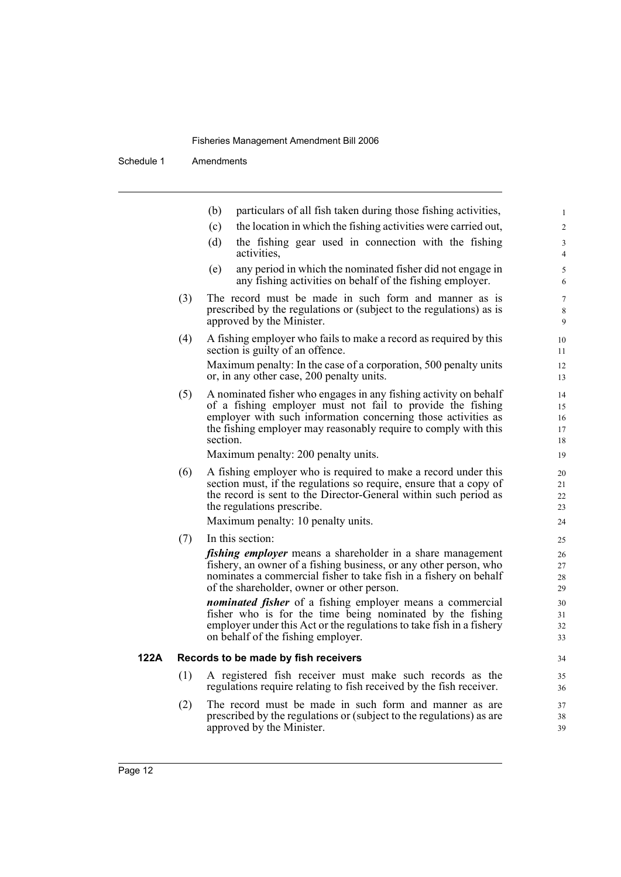Schedule 1 Amendments

| particulars of all fish taken during those fishing activities,<br>(b)<br>the location in which the fishing activities were carried out,<br>(c)<br>the fishing gear used in connection with the fishing<br>(d)<br>activities,<br>(e)<br>any period in which the nominated fisher did not engage in<br>any fishing activities on behalf of the fishing employer.<br>The record must be made in such form and manner as is<br>(3)<br>prescribed by the regulations or (subject to the regulations) as is<br>approved by the Minister.<br>(4)<br>A fishing employer who fails to make a record as required by this<br>section is guilty of an offence.<br>Maximum penalty: In the case of a corporation, 500 penalty units<br>or, in any other case, 200 penalty units.<br>(5)<br>A nominated fisher who engages in any fishing activity on behalf<br>of a fishing employer must not fail to provide the fishing<br>employer with such information concerning those activities as<br>the fishing employer may reasonably require to comply with this<br>section.<br>Maximum penalty: 200 penalty units.<br>A fishing employer who is required to make a record under this<br>(6)<br>section must, if the regulations so require, ensure that a copy of<br>the record is sent to the Director-General within such period as<br>the regulations prescribe.<br>Maximum penalty: 10 penalty units.<br>(7)<br>In this section:<br><i>fishing employer</i> means a shareholder in a share management<br>fishery, an owner of a fishing business, or any other person, who<br>nominates a commercial fisher to take fish in a fishery on behalf<br>of the shareholder, owner or other person.<br><i>nominated fisher</i> of a fishing employer means a commercial<br>fisher who is for the time being nominated by the fishing<br>employer under this Act or the regulations to take fish in a fishery<br>on behalf of the fishing employer.<br>Records to be made by fish receivers<br>122A<br>(1)<br>A registered fish receiver must make such records as the<br>regulations require relating to fish received by the fish receiver.<br>The record must be made in such form and manner as are<br>(2)<br>prescribed by the regulations or (subject to the regulations) as are |  |                           |
|----------------------------------------------------------------------------------------------------------------------------------------------------------------------------------------------------------------------------------------------------------------------------------------------------------------------------------------------------------------------------------------------------------------------------------------------------------------------------------------------------------------------------------------------------------------------------------------------------------------------------------------------------------------------------------------------------------------------------------------------------------------------------------------------------------------------------------------------------------------------------------------------------------------------------------------------------------------------------------------------------------------------------------------------------------------------------------------------------------------------------------------------------------------------------------------------------------------------------------------------------------------------------------------------------------------------------------------------------------------------------------------------------------------------------------------------------------------------------------------------------------------------------------------------------------------------------------------------------------------------------------------------------------------------------------------------------------------------------------------------------------------------------------------------------------------------------------------------------------------------------------------------------------------------------------------------------------------------------------------------------------------------------------------------------------------------------------------------------------------------------------------------------------------------------------------------------------------------------------------------------------------------|--|---------------------------|
|                                                                                                                                                                                                                                                                                                                                                                                                                                                                                                                                                                                                                                                                                                                                                                                                                                                                                                                                                                                                                                                                                                                                                                                                                                                                                                                                                                                                                                                                                                                                                                                                                                                                                                                                                                                                                                                                                                                                                                                                                                                                                                                                                                                                                                                                      |  |                           |
|                                                                                                                                                                                                                                                                                                                                                                                                                                                                                                                                                                                                                                                                                                                                                                                                                                                                                                                                                                                                                                                                                                                                                                                                                                                                                                                                                                                                                                                                                                                                                                                                                                                                                                                                                                                                                                                                                                                                                                                                                                                                                                                                                                                                                                                                      |  |                           |
|                                                                                                                                                                                                                                                                                                                                                                                                                                                                                                                                                                                                                                                                                                                                                                                                                                                                                                                                                                                                                                                                                                                                                                                                                                                                                                                                                                                                                                                                                                                                                                                                                                                                                                                                                                                                                                                                                                                                                                                                                                                                                                                                                                                                                                                                      |  |                           |
|                                                                                                                                                                                                                                                                                                                                                                                                                                                                                                                                                                                                                                                                                                                                                                                                                                                                                                                                                                                                                                                                                                                                                                                                                                                                                                                                                                                                                                                                                                                                                                                                                                                                                                                                                                                                                                                                                                                                                                                                                                                                                                                                                                                                                                                                      |  |                           |
|                                                                                                                                                                                                                                                                                                                                                                                                                                                                                                                                                                                                                                                                                                                                                                                                                                                                                                                                                                                                                                                                                                                                                                                                                                                                                                                                                                                                                                                                                                                                                                                                                                                                                                                                                                                                                                                                                                                                                                                                                                                                                                                                                                                                                                                                      |  |                           |
|                                                                                                                                                                                                                                                                                                                                                                                                                                                                                                                                                                                                                                                                                                                                                                                                                                                                                                                                                                                                                                                                                                                                                                                                                                                                                                                                                                                                                                                                                                                                                                                                                                                                                                                                                                                                                                                                                                                                                                                                                                                                                                                                                                                                                                                                      |  |                           |
|                                                                                                                                                                                                                                                                                                                                                                                                                                                                                                                                                                                                                                                                                                                                                                                                                                                                                                                                                                                                                                                                                                                                                                                                                                                                                                                                                                                                                                                                                                                                                                                                                                                                                                                                                                                                                                                                                                                                                                                                                                                                                                                                                                                                                                                                      |  |                           |
|                                                                                                                                                                                                                                                                                                                                                                                                                                                                                                                                                                                                                                                                                                                                                                                                                                                                                                                                                                                                                                                                                                                                                                                                                                                                                                                                                                                                                                                                                                                                                                                                                                                                                                                                                                                                                                                                                                                                                                                                                                                                                                                                                                                                                                                                      |  |                           |
|                                                                                                                                                                                                                                                                                                                                                                                                                                                                                                                                                                                                                                                                                                                                                                                                                                                                                                                                                                                                                                                                                                                                                                                                                                                                                                                                                                                                                                                                                                                                                                                                                                                                                                                                                                                                                                                                                                                                                                                                                                                                                                                                                                                                                                                                      |  |                           |
|                                                                                                                                                                                                                                                                                                                                                                                                                                                                                                                                                                                                                                                                                                                                                                                                                                                                                                                                                                                                                                                                                                                                                                                                                                                                                                                                                                                                                                                                                                                                                                                                                                                                                                                                                                                                                                                                                                                                                                                                                                                                                                                                                                                                                                                                      |  |                           |
|                                                                                                                                                                                                                                                                                                                                                                                                                                                                                                                                                                                                                                                                                                                                                                                                                                                                                                                                                                                                                                                                                                                                                                                                                                                                                                                                                                                                                                                                                                                                                                                                                                                                                                                                                                                                                                                                                                                                                                                                                                                                                                                                                                                                                                                                      |  |                           |
|                                                                                                                                                                                                                                                                                                                                                                                                                                                                                                                                                                                                                                                                                                                                                                                                                                                                                                                                                                                                                                                                                                                                                                                                                                                                                                                                                                                                                                                                                                                                                                                                                                                                                                                                                                                                                                                                                                                                                                                                                                                                                                                                                                                                                                                                      |  |                           |
|                                                                                                                                                                                                                                                                                                                                                                                                                                                                                                                                                                                                                                                                                                                                                                                                                                                                                                                                                                                                                                                                                                                                                                                                                                                                                                                                                                                                                                                                                                                                                                                                                                                                                                                                                                                                                                                                                                                                                                                                                                                                                                                                                                                                                                                                      |  |                           |
|                                                                                                                                                                                                                                                                                                                                                                                                                                                                                                                                                                                                                                                                                                                                                                                                                                                                                                                                                                                                                                                                                                                                                                                                                                                                                                                                                                                                                                                                                                                                                                                                                                                                                                                                                                                                                                                                                                                                                                                                                                                                                                                                                                                                                                                                      |  |                           |
|                                                                                                                                                                                                                                                                                                                                                                                                                                                                                                                                                                                                                                                                                                                                                                                                                                                                                                                                                                                                                                                                                                                                                                                                                                                                                                                                                                                                                                                                                                                                                                                                                                                                                                                                                                                                                                                                                                                                                                                                                                                                                                                                                                                                                                                                      |  |                           |
|                                                                                                                                                                                                                                                                                                                                                                                                                                                                                                                                                                                                                                                                                                                                                                                                                                                                                                                                                                                                                                                                                                                                                                                                                                                                                                                                                                                                                                                                                                                                                                                                                                                                                                                                                                                                                                                                                                                                                                                                                                                                                                                                                                                                                                                                      |  | approved by the Minister. |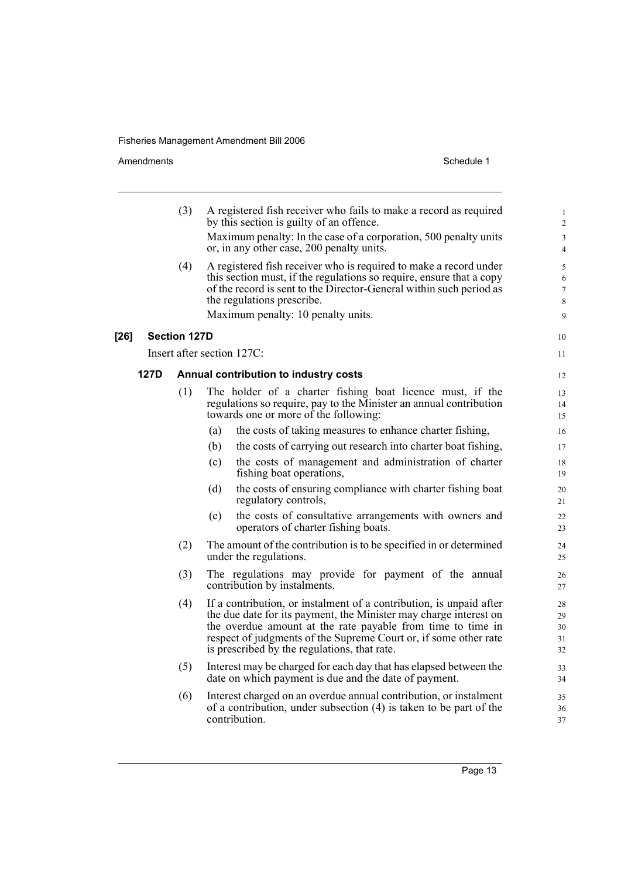Amendments Schedule 1

**[26]** 

10 11

|                                               | (3)                                                                                                                                                                                                                                                   | A registered fish receiver who fails to make a record as required<br>by this section is guilty of an offence.                                                                                                                                                                                                               |  |  |  |  |
|-----------------------------------------------|-------------------------------------------------------------------------------------------------------------------------------------------------------------------------------------------------------------------------------------------------------|-----------------------------------------------------------------------------------------------------------------------------------------------------------------------------------------------------------------------------------------------------------------------------------------------------------------------------|--|--|--|--|
|                                               |                                                                                                                                                                                                                                                       | Maximum penalty: In the case of a corporation, 500 penalty units<br>or, in any other case, 200 penalty units.                                                                                                                                                                                                               |  |  |  |  |
|                                               | (4)<br>A registered fish receiver who is required to make a record under<br>this section must, if the regulations so require, ensure that a copy<br>of the record is sent to the Director-General within such period as<br>the regulations prescribe. |                                                                                                                                                                                                                                                                                                                             |  |  |  |  |
|                                               |                                                                                                                                                                                                                                                       | Maximum penalty: 10 penalty units.                                                                                                                                                                                                                                                                                          |  |  |  |  |
|                                               | <b>Section 127D</b>                                                                                                                                                                                                                                   |                                                                                                                                                                                                                                                                                                                             |  |  |  |  |
|                                               |                                                                                                                                                                                                                                                       | Insert after section 127C:                                                                                                                                                                                                                                                                                                  |  |  |  |  |
| 127D<br>Annual contribution to industry costs |                                                                                                                                                                                                                                                       |                                                                                                                                                                                                                                                                                                                             |  |  |  |  |
|                                               | (1)                                                                                                                                                                                                                                                   | The holder of a charter fishing boat licence must, if the<br>regulations so require, pay to the Minister an annual contribution<br>towards one or more of the following:                                                                                                                                                    |  |  |  |  |
|                                               |                                                                                                                                                                                                                                                       | the costs of taking measures to enhance charter fishing,<br>(a)                                                                                                                                                                                                                                                             |  |  |  |  |
|                                               |                                                                                                                                                                                                                                                       | the costs of carrying out research into charter boat fishing,<br>(b)                                                                                                                                                                                                                                                        |  |  |  |  |
|                                               |                                                                                                                                                                                                                                                       | the costs of management and administration of charter<br>(c)<br>fishing boat operations,                                                                                                                                                                                                                                    |  |  |  |  |
|                                               |                                                                                                                                                                                                                                                       | (d)<br>the costs of ensuring compliance with charter fishing boat<br>regulatory controls,                                                                                                                                                                                                                                   |  |  |  |  |
|                                               |                                                                                                                                                                                                                                                       | (e)<br>the costs of consultative arrangements with owners and<br>operators of charter fishing boats.                                                                                                                                                                                                                        |  |  |  |  |
|                                               | (2)                                                                                                                                                                                                                                                   | The amount of the contribution is to be specified in or determined<br>under the regulations.                                                                                                                                                                                                                                |  |  |  |  |
|                                               | (3)                                                                                                                                                                                                                                                   | The regulations may provide for payment of the annual<br>contribution by instalments.                                                                                                                                                                                                                                       |  |  |  |  |
|                                               | (4)                                                                                                                                                                                                                                                   | If a contribution, or instalment of a contribution, is unpaid after<br>the due date for its payment, the Minister may charge interest on<br>the overdue amount at the rate payable from time to time in<br>respect of judgments of the Supreme Court or, if some other rate<br>is prescribed by the regulations, that rate. |  |  |  |  |
|                                               | (5)                                                                                                                                                                                                                                                   | Interest may be charged for each day that has elapsed between the<br>date on which payment is due and the date of payment.                                                                                                                                                                                                  |  |  |  |  |
|                                               | (6)                                                                                                                                                                                                                                                   | Interest charged on an overdue annual contribution, or instalment<br>of a contribution, under subsection (4) is taken to be part of the<br>contribution.                                                                                                                                                                    |  |  |  |  |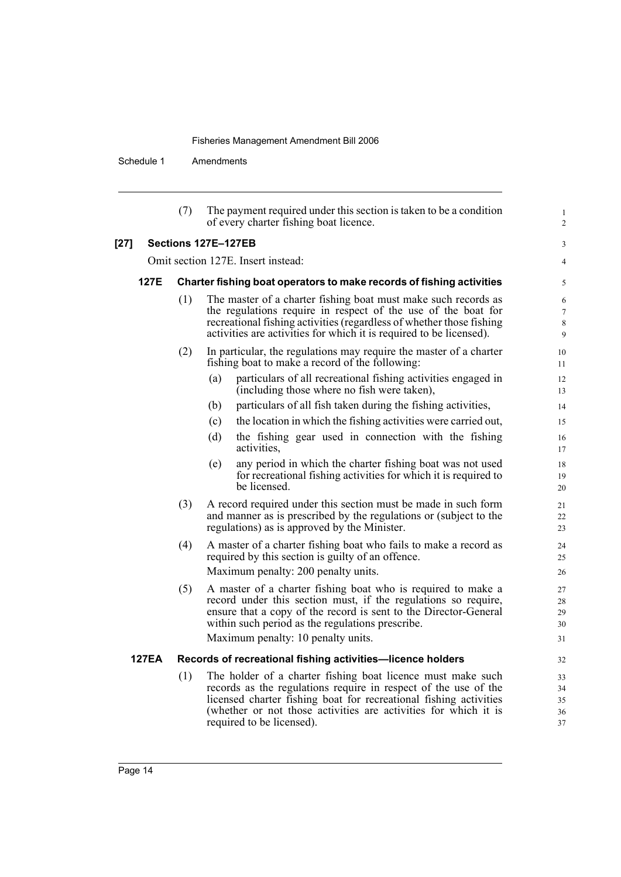Schedule 1 Amendments

|        |                     | (7) | The payment required under this section is taken to be a condition<br>of every charter fishing boat licence.                                                                                                                                                                                        | $\mathbf{1}$<br>$\overline{c}$  |  |
|--------|---------------------|-----|-----------------------------------------------------------------------------------------------------------------------------------------------------------------------------------------------------------------------------------------------------------------------------------------------------|---------------------------------|--|
| $[27]$ | Sections 127E-127EB |     |                                                                                                                                                                                                                                                                                                     |                                 |  |
|        |                     |     | Omit section 127E. Insert instead:                                                                                                                                                                                                                                                                  | $\overline{4}$                  |  |
|        | 127E                |     | Charter fishing boat operators to make records of fishing activities                                                                                                                                                                                                                                | 5                               |  |
|        |                     | (1) | The master of a charter fishing boat must make such records as<br>the regulations require in respect of the use of the boat for<br>recreational fishing activities (regardless of whether those fishing<br>activities are activities for which it is required to be licensed).                      | 6<br>$\tau$<br>$\,$ 8 $\,$<br>9 |  |
|        |                     | (2) | In particular, the regulations may require the master of a charter<br>fishing boat to make a record of the following:                                                                                                                                                                               | 10<br>11                        |  |
|        |                     |     | particulars of all recreational fishing activities engaged in<br>(a)<br>(including those where no fish were taken),                                                                                                                                                                                 | 12<br>13                        |  |
|        |                     |     | particulars of all fish taken during the fishing activities,<br>(b)                                                                                                                                                                                                                                 | 14                              |  |
|        |                     |     | the location in which the fishing activities were carried out,<br>(c)                                                                                                                                                                                                                               | 15                              |  |
|        |                     |     | (d)<br>the fishing gear used in connection with the fishing<br>activities,                                                                                                                                                                                                                          | 16<br>17                        |  |
|        |                     |     | any period in which the charter fishing boat was not used<br>(e)<br>for recreational fishing activities for which it is required to<br>be licensed.                                                                                                                                                 | 18<br>19<br>20                  |  |
|        |                     | (3) | A record required under this section must be made in such form<br>and manner as is prescribed by the regulations or (subject to the<br>regulations) as is approved by the Minister.                                                                                                                 | 21<br>22<br>23                  |  |
|        |                     | (4) | A master of a charter fishing boat who fails to make a record as<br>required by this section is guilty of an offence.<br>Maximum penalty: 200 penalty units.                                                                                                                                        | 24<br>25<br>26                  |  |
|        |                     | (5) | A master of a charter fishing boat who is required to make a<br>record under this section must, if the regulations so require,<br>ensure that a copy of the record is sent to the Director-General<br>within such period as the regulations prescribe.<br>Maximum penalty: 10 penalty units.        | 27<br>28<br>29<br>30<br>31      |  |
|        | <b>127EA</b>        |     | Records of recreational fishing activities-licence holders                                                                                                                                                                                                                                          | 32                              |  |
|        |                     | (1) | The holder of a charter fishing boat licence must make such<br>records as the regulations require in respect of the use of the<br>licensed charter fishing boat for recreational fishing activities<br>(whether or not those activities are activities for which it is<br>required to be licensed). | 33<br>34<br>35<br>36<br>37      |  |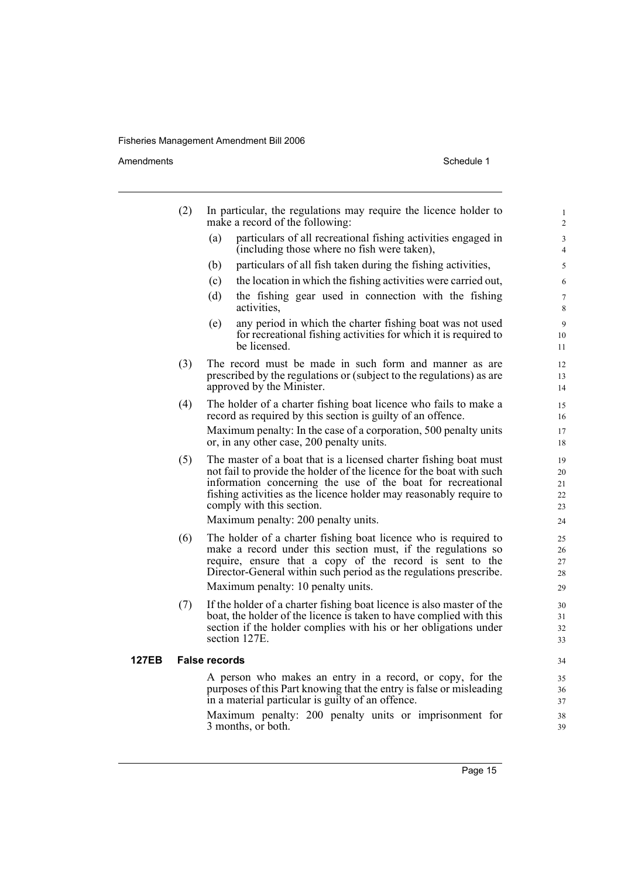Amendments Schedule 1

|       | (2) | In particular, the regulations may require the licence holder to<br>make a record of the following:                                                                                                                                                                                                                                                | $\mathbf{1}$<br>$\overline{c}$   |
|-------|-----|----------------------------------------------------------------------------------------------------------------------------------------------------------------------------------------------------------------------------------------------------------------------------------------------------------------------------------------------------|----------------------------------|
|       |     | particulars of all recreational fishing activities engaged in<br>(a)<br>(including those where no fish were taken),                                                                                                                                                                                                                                | 3<br>$\overline{4}$              |
|       |     | particulars of all fish taken during the fishing activities,<br>(b)                                                                                                                                                                                                                                                                                | 5                                |
|       |     | (c)<br>the location in which the fishing activities were carried out,                                                                                                                                                                                                                                                                              | 6                                |
|       |     | (d)<br>the fishing gear used in connection with the fishing<br>activities,                                                                                                                                                                                                                                                                         | $\tau$<br>8                      |
|       |     | any period in which the charter fishing boat was not used<br>(e)<br>for recreational fishing activities for which it is required to<br>be licensed.                                                                                                                                                                                                | 9<br>10<br>11                    |
|       | (3) | The record must be made in such form and manner as are<br>prescribed by the regulations or (subject to the regulations) as are<br>approved by the Minister.                                                                                                                                                                                        | 12<br>13<br>14                   |
|       | (4) | The holder of a charter fishing boat licence who fails to make a<br>record as required by this section is guilty of an offence.                                                                                                                                                                                                                    | 15<br>16                         |
|       |     | Maximum penalty: In the case of a corporation, 500 penalty units<br>or, in any other case, 200 penalty units.                                                                                                                                                                                                                                      | 17<br>18                         |
|       | (5) | The master of a boat that is a licensed charter fishing boat must<br>not fail to provide the holder of the licence for the boat with such<br>information concerning the use of the boat for recreational<br>fishing activities as the licence holder may reasonably require to<br>comply with this section.<br>Maximum penalty: 200 penalty units. | 19<br>20<br>21<br>22<br>23<br>24 |
|       | (6) | The holder of a charter fishing boat licence who is required to<br>make a record under this section must, if the regulations so<br>require, ensure that a copy of the record is sent to the<br>Director-General within such period as the regulations prescribe.<br>Maximum penalty: 10 penalty units.                                             | 25<br>26<br>27<br>28<br>29       |
|       | (7) | If the holder of a charter fishing boat licence is also master of the<br>boat, the holder of the licence is taken to have complied with this<br>section if the holder complies with his or her obligations under<br>section 127E.                                                                                                                  | 30<br>31<br>32<br>33             |
| 127EB |     | <b>False records</b>                                                                                                                                                                                                                                                                                                                               | 34                               |
|       |     | A person who makes an entry in a record, or copy, for the<br>purposes of this Part knowing that the entry is false or misleading<br>in a material particular is guilty of an offence.                                                                                                                                                              | 35<br>36<br>37                   |
|       |     | Maximum penalty: 200 penalty units or imprisonment for<br>3 months, or both.                                                                                                                                                                                                                                                                       | 38<br>39                         |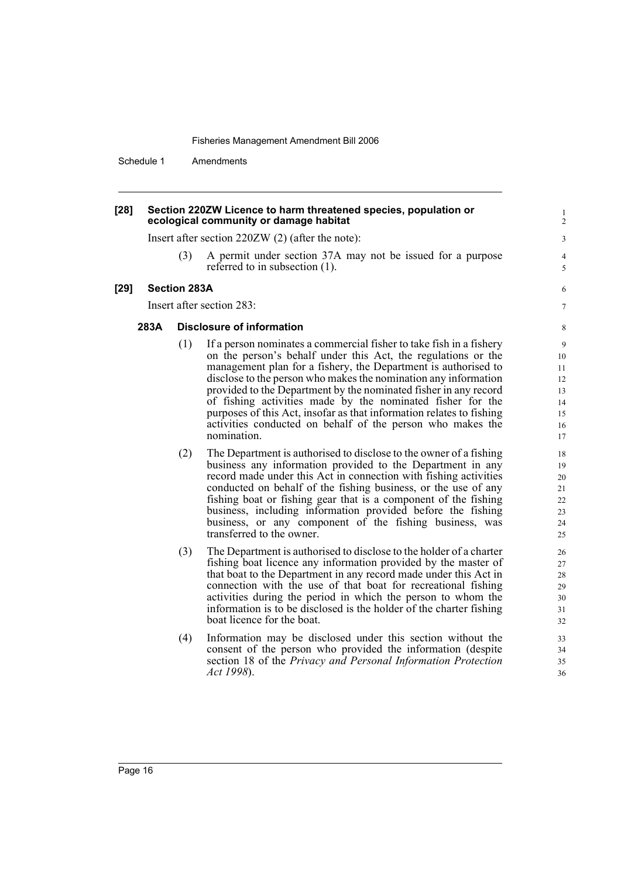Schedule 1 Amendments

#### **[28] Section 220ZW Licence to harm threatened species, population or ecological community or damage habitat**

Insert after section 220ZW (2) (after the note):

(3) A permit under section 37A may not be issued for a purpose referred to in subsection (1).

#### **[29] Section 283A**

Insert after section 283:

#### **283A Disclosure of information**

- (1) If a person nominates a commercial fisher to take fish in a fishery on the person's behalf under this Act, the regulations or the management plan for a fishery, the Department is authorised to disclose to the person who makes the nomination any information provided to the Department by the nominated fisher in any record of fishing activities made by the nominated fisher for the purposes of this Act, insofar as that information relates to fishing activities conducted on behalf of the person who makes the nomination.
- (2) The Department is authorised to disclose to the owner of a fishing business any information provided to the Department in any record made under this Act in connection with fishing activities conducted on behalf of the fishing business, or the use of any fishing boat or fishing gear that is a component of the fishing business, including information provided before the fishing business, or any component of the fishing business, was transferred to the owner.
- (3) The Department is authorised to disclose to the holder of a charter fishing boat licence any information provided by the master of that boat to the Department in any record made under this Act in connection with the use of that boat for recreational fishing activities during the period in which the person to whom the information is to be disclosed is the holder of the charter fishing boat licence for the boat.
- (4) Information may be disclosed under this section without the consent of the person who provided the information (despite section 18 of the *Privacy and Personal Information Protection Act 1998*).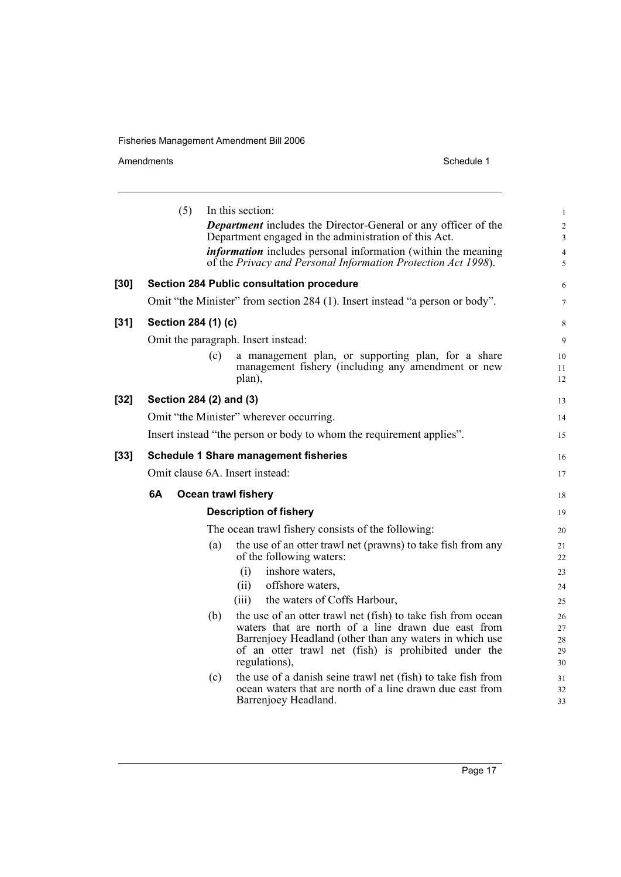Amendments Schedule 1

|      |    | (5)                     | In this section:<br><b>Department</b> includes the Director-General or any officer of the<br>Department engaged in the administration of this Act. | $\mathbf{1}$<br>$\overline{2}$<br>3 |
|------|----|-------------------------|----------------------------------------------------------------------------------------------------------------------------------------------------|-------------------------------------|
|      |    |                         | <i>information</i> includes personal information (within the meaning<br>of the Privacy and Personal Information Protection Act 1998).              | $\overline{4}$<br>5                 |
| [30] |    |                         | <b>Section 284 Public consultation procedure</b>                                                                                                   | 6                                   |
|      |    |                         | Omit "the Minister" from section 284 (1). Insert instead "a person or body".                                                                       | $\tau$                              |
| [31] |    | Section 284 (1) (c)     |                                                                                                                                                    | 8                                   |
|      |    |                         | Omit the paragraph. Insert instead:                                                                                                                | 9                                   |
|      |    | (c)                     | a management plan, or supporting plan, for a share<br>management fishery (including any amendment or new<br>plan),                                 | 10<br>11<br>12                      |
| [32] |    | Section 284 (2) and (3) |                                                                                                                                                    | 13                                  |
|      |    |                         | Omit "the Minister" wherever occurring.                                                                                                            | 14                                  |
|      |    |                         | Insert instead "the person or body to whom the requirement applies".                                                                               | 15                                  |
| [33] |    |                         | <b>Schedule 1 Share management fisheries</b>                                                                                                       | 16                                  |
|      |    |                         | Omit clause 6A. Insert instead:                                                                                                                    | 17                                  |
|      | 6A |                         | <b>Ocean trawl fishery</b>                                                                                                                         | 18                                  |
|      |    |                         | <b>Description of fishery</b>                                                                                                                      | 19                                  |
|      |    |                         | The ocean trawl fishery consists of the following:                                                                                                 | 20                                  |
|      |    | (a)                     | the use of an otter trawl net (prawns) to take fish from any<br>of the following waters:                                                           | 21<br>22                            |
|      |    |                         | (i)<br>inshore waters,                                                                                                                             | 23                                  |
|      |    |                         | (ii)<br>offshore waters,                                                                                                                           | 24                                  |
|      |    |                         | the waters of Coffs Harbour,<br>(iii)                                                                                                              | 25                                  |
|      |    | (b)                     | the use of an otter trawl net (fish) to take fish from ocean<br>waters that are north of a line drawn due east from                                | 26<br>27                            |
|      |    |                         | Barrenjoey Headland (other than any waters in which use                                                                                            | 28                                  |
|      |    |                         | of an otter trawl net (fish) is prohibited under the                                                                                               | 29                                  |
|      |    |                         | regulations),                                                                                                                                      | 30                                  |
|      |    | (c)                     | the use of a danish seine trawl net (fish) to take fish from                                                                                       | 31                                  |
|      |    |                         | ocean waters that are north of a line drawn due east from<br>Barrenjoey Headland.                                                                  | 32<br>33                            |
|      |    |                         |                                                                                                                                                    |                                     |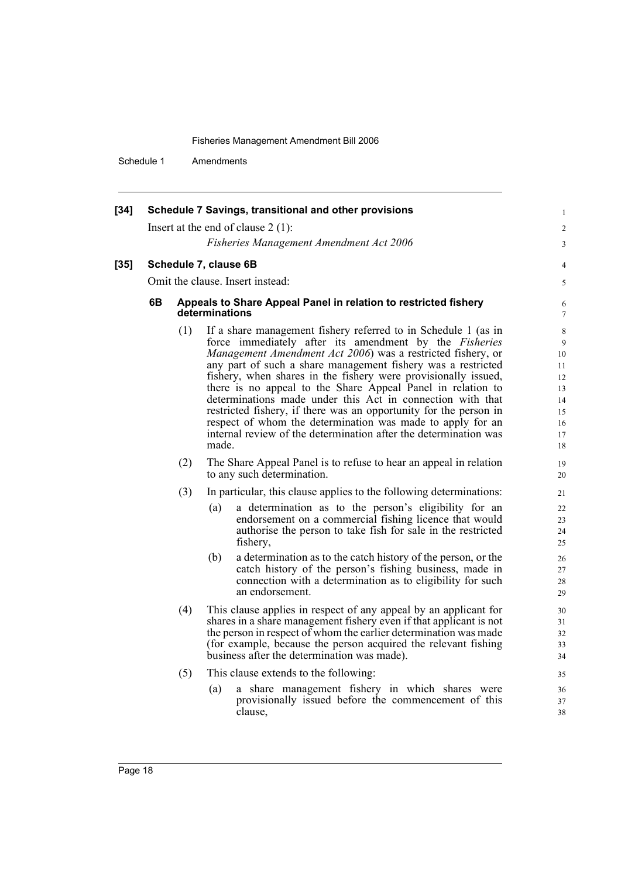1 2 3

4 5

Schedule 1 Amendments

| $[34]$ | Schedule 7 Savings, transitional and other provisions<br>Insert at the end of clause $2(1)$ :<br><b>Fisheries Management Amendment Act 2006</b> |                                                                                   |                                                                                                                                                                                                                                                                                                                                                                                                                                                                                                                                                                                                                                                                        |  |  |  |  |  |
|--------|-------------------------------------------------------------------------------------------------------------------------------------------------|-----------------------------------------------------------------------------------|------------------------------------------------------------------------------------------------------------------------------------------------------------------------------------------------------------------------------------------------------------------------------------------------------------------------------------------------------------------------------------------------------------------------------------------------------------------------------------------------------------------------------------------------------------------------------------------------------------------------------------------------------------------------|--|--|--|--|--|
| $[35]$ | Schedule 7, clause 6B                                                                                                                           |                                                                                   |                                                                                                                                                                                                                                                                                                                                                                                                                                                                                                                                                                                                                                                                        |  |  |  |  |  |
|        | Omit the clause. Insert instead:                                                                                                                |                                                                                   |                                                                                                                                                                                                                                                                                                                                                                                                                                                                                                                                                                                                                                                                        |  |  |  |  |  |
|        | 6В                                                                                                                                              | Appeals to Share Appeal Panel in relation to restricted fishery<br>determinations |                                                                                                                                                                                                                                                                                                                                                                                                                                                                                                                                                                                                                                                                        |  |  |  |  |  |
|        |                                                                                                                                                 | (1)                                                                               | If a share management fishery referred to in Schedule 1 (as in<br>force immediately after its amendment by the Fisheries<br>Management Amendment Act 2006) was a restricted fishery, or<br>any part of such a share management fishery was a restricted<br>fishery, when shares in the fishery were provisionally issued,<br>there is no appeal to the Share Appeal Panel in relation to<br>determinations made under this Act in connection with that<br>restricted fishery, if there was an opportunity for the person in<br>respect of whom the determination was made to apply for an<br>internal review of the determination after the determination was<br>made. |  |  |  |  |  |
|        |                                                                                                                                                 | (2)                                                                               | The Share Appeal Panel is to refuse to hear an appeal in relation<br>to any such determination.                                                                                                                                                                                                                                                                                                                                                                                                                                                                                                                                                                        |  |  |  |  |  |
|        |                                                                                                                                                 | (3)                                                                               | In particular, this clause applies to the following determinations:                                                                                                                                                                                                                                                                                                                                                                                                                                                                                                                                                                                                    |  |  |  |  |  |
|        |                                                                                                                                                 |                                                                                   | a determination as to the person's eligibility for an<br>(a)<br>endorsement on a commercial fishing licence that would<br>authorise the person to take fish for sale in the restricted<br>fishery,                                                                                                                                                                                                                                                                                                                                                                                                                                                                     |  |  |  |  |  |
|        |                                                                                                                                                 |                                                                                   | a determination as to the catch history of the person, or the<br>(b)<br>catch history of the person's fishing business, made in<br>connection with a determination as to eligibility for such<br>an endorsement.                                                                                                                                                                                                                                                                                                                                                                                                                                                       |  |  |  |  |  |

- (4) This clause applies in respect of any appeal by an applicant for shares in a share management fishery even if that applicant is not the person in respect of whom the earlier determination was made (for example, because the person acquired the relevant fishing business after the determination was made).
- (5) This clause extends to the following:
	- (a) a share management fishery in which shares were provisionally issued before the commencement of this clause,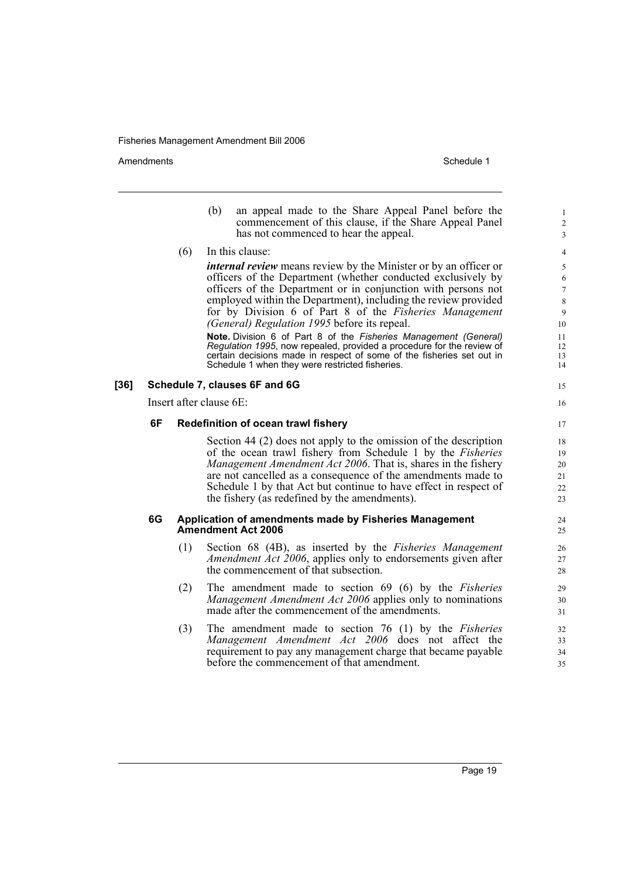Amendments **Amendments** Schedule 1

- (b) an appeal made to the Share Appeal Panel before the commencement of this clause, if the Share Appeal Panel has not commenced to hear the appeal.
- (6) In this clause:

*internal review* means review by the Minister or by an officer or officers of the Department (whether conducted exclusively by officers of the Department or in conjunction with persons not employed within the Department), including the review provided for by Division 6 of Part 8 of the *Fisheries Management (General) Regulation 1995* before its repeal.

**Note.** Division 6 of Part 8 of the *Fisheries Management (General) Regulation 1995*, now repealed, provided a procedure for the review of certain decisions made in respect of some of the fisheries set out in Schedule 1 when they were restricted fisheries.

#### **[36] Schedule 7, clauses 6F and 6G**

Insert after clause 6E:

#### **6F Redefinition of ocean trawl fishery**

Section 44 (2) does not apply to the omission of the description of the ocean trawl fishery from Schedule 1 by the *Fisheries Management Amendment Act 2006*. That is, shares in the fishery are not cancelled as a consequence of the amendments made to Schedule 1 by that Act but continue to have effect in respect of the fishery (as redefined by the amendments).

#### **6G Application of amendments made by Fisheries Management Amendment Act 2006**

- (1) Section 68 (4B), as inserted by the *Fisheries Management Amendment Act 2006*, applies only to endorsements given after the commencement of that subsection.
- (2) The amendment made to section 69 (6) by the *Fisheries Management Amendment Act 2006* applies only to nominations made after the commencement of the amendments.
- (3) The amendment made to section 76 (1) by the *Fisheries Management Amendment Act 2006* does not affect the requirement to pay any management charge that became payable before the commencement of that amendment.